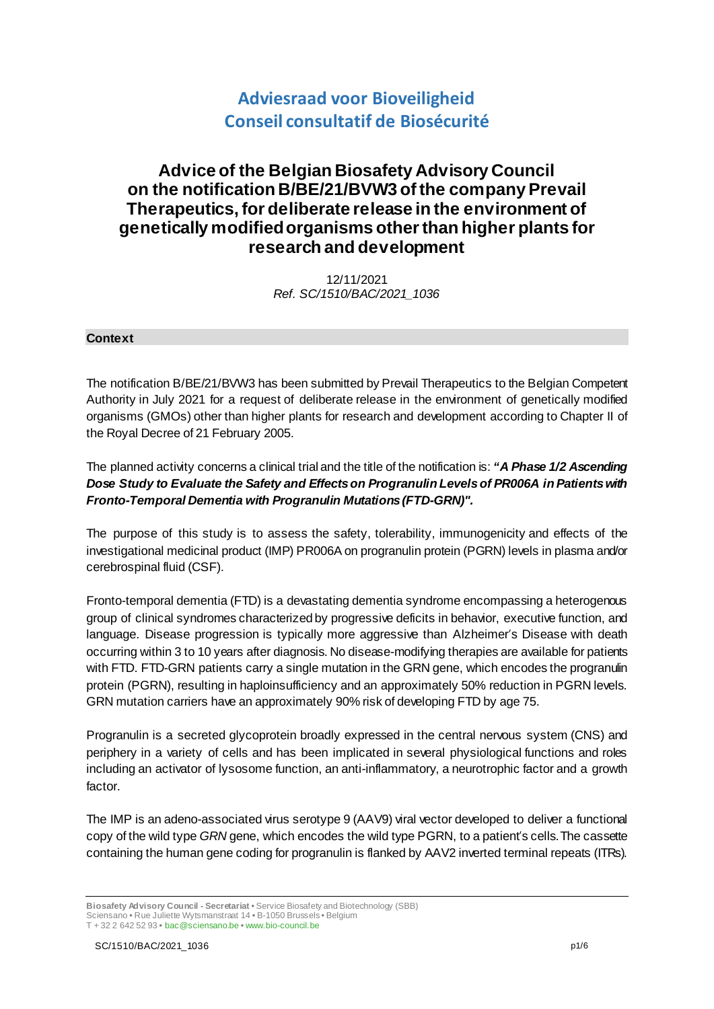# **Adviesraad voor Bioveiligheid Conseil consultatif de Biosécurité**

## **Advice of the Belgian Biosafety Advisory Council on the notification B/BE/21/BVW3 of the company Prevail Therapeutics, for deliberate release in the environment of genetically modified organisms other than higher plants for research and development**

12/11/2021 *Ref. SC/1510/BAC/2021\_1036*

### **Context**

The notification B/BE/21/BVW3 has been submitted by Prevail Therapeutics to the Belgian Competent Authority in July 2021 for a request of deliberate release in the environment of genetically modified organisms (GMOs) other than higher plants for research and development according to Chapter II of the Royal Decree of 21 February 2005.

The planned activity concerns a clinical trial and the title of the notification is: *"A Phase 1/2 Ascending Dose Study to Evaluate the Safety and Effects on Progranulin Levels of PR006A in Patients with Fronto-Temporal Dementia with Progranulin Mutations (FTD-GRN)".*

The purpose of this study is to assess the safety, tolerability, immunogenicity and effects of the investigational medicinal product (IMP) PR006A on progranulin protein (PGRN) levels in plasma and/or cerebrospinal fluid (CSF).

Fronto-temporal dementia (FTD) is a devastating dementia syndrome encompassing a heterogenous group of clinical syndromes characterized by progressive deficits in behavior, executive function, and language. Disease progression is typically more aggressive than Alzheimer's Disease with death occurring within 3 to 10 years after diagnosis. No disease-modifying therapies are available for patients with FTD. FTD-GRN patients carry a single mutation in the GRN gene, which encodes the progranulin protein (PGRN), resulting in haploinsufficiency and an approximately 50% reduction in PGRN levels. GRN mutation carriers have an approximately 90% risk of developing FTD by age 75.

Progranulin is a secreted glycoprotein broadly expressed in the central nervous system (CNS) and periphery in a variety of cells and has been implicated in several physiological functions and roles including an activator of lysosome function, an anti-inflammatory, a neurotrophic factor and a growth factor.

The IMP is an adeno-associated virus serotype 9 (AAV9) viral vector developed to deliver a functional copy of the wild type *GRN* gene, which encodes the wild type PGRN, to a patient's cells.The cassette containing the human gene coding for progranulin is flanked by AAV2 inverted terminal repeats (ITRs).

**Biosafety Advisory Council - Secretariat •** Service Biosafety and Biotechnology (SBB) Sciensano **•** Rue Juliette Wytsmanstraat 14 **•** B-1050 Brussels **•** Belgium T + 32 2 642 52 93 **•** bac@sciensano.be **•** www.bio-council.be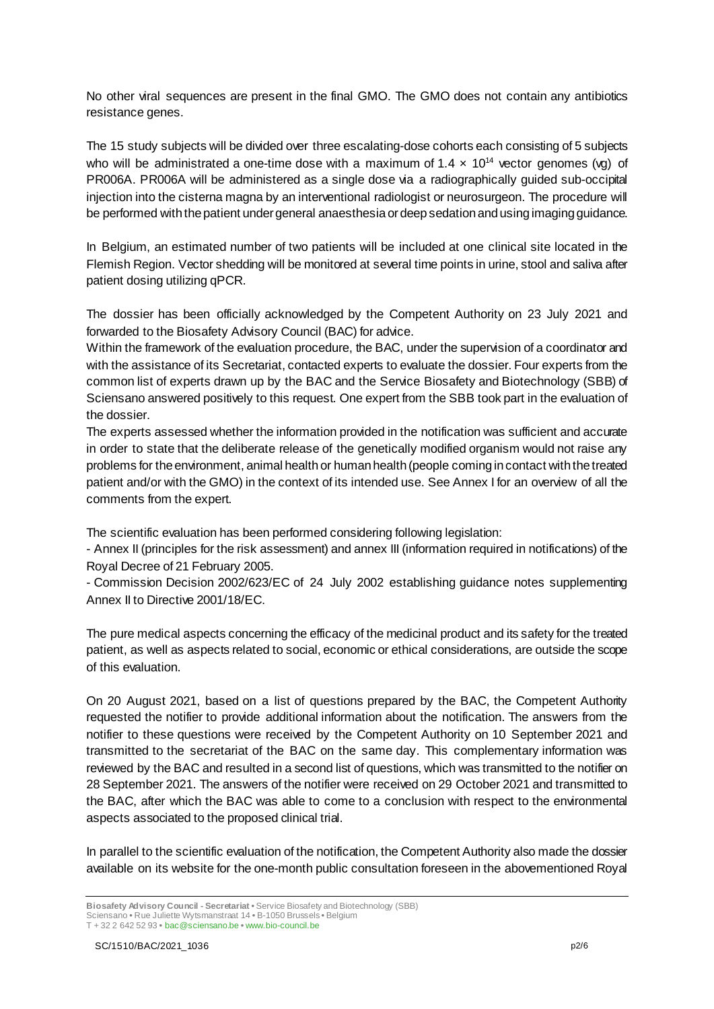No other viral sequences are present in the final GMO. The GMO does not contain any antibiotics resistance genes.

The 15 study subjects will be divided over three escalating-dose cohorts each consisting of 5 subjects who will be administrated a one-time dose with a maximum of  $1.4 \times 10^{14}$  vector genomes (vg) of PR006A. PR006A will be administered as a single dose via a radiographically guided sub-occipital injection into the cisterna magna by an interventional radiologist or neurosurgeon. The procedure will be performed with the patient under general anaesthesia or deep sedation and using imaging guidance.

In Belgium, an estimated number of two patients will be included at one clinical site located in the Flemish Region. Vector shedding will be monitored at several time points in urine, stool and saliva after patient dosing utilizing qPCR.

The dossier has been officially acknowledged by the Competent Authority on 23 July 2021 and forwarded to the Biosafety Advisory Council (BAC) for advice.

Within the framework of the evaluation procedure, the BAC, under the supervision of a coordinator and with the assistance of its Secretariat, contacted experts to evaluate the dossier. Four experts from the common list of experts drawn up by the BAC and the Service Biosafety and Biotechnology (SBB) of Sciensano answered positively to this request. One expert from the SBB took part in the evaluation of the dossier.

The experts assessed whether the information provided in the notification was sufficient and accurate in order to state that the deliberate release of the genetically modified organism would not raise any problems for the environment, animal health or human health (people coming in contact with the treated patient and/or with the GMO) in the context of its intended use. See Annex I for an overview of all the comments from the expert.

The scientific evaluation has been performed considering following legislation:

- Annex II (principles for the risk assessment) and annex III (information required in notifications) of the Royal Decree of 21 February 2005.

- Commission Decision 2002/623/EC of 24 July 2002 establishing guidance notes supplementing Annex II to Directive 2001/18/EC.

The pure medical aspects concerning the efficacy of the medicinal product and its safety for the treated patient, as well as aspects related to social, economic or ethical considerations, are outside the scope of this evaluation.

On 20 August 2021, based on a list of questions prepared by the BAC, the Competent Authority requested the notifier to provide additional information about the notification. The answers from the notifier to these questions were received by the Competent Authority on 10 September 2021 and transmitted to the secretariat of the BAC on the same day. This complementary information was reviewed by the BAC and resulted in a second list of questions, which was transmitted to the notifier on 28 September 2021. The answers of the notifier were received on 29 October 2021 and transmitted to the BAC, after which the BAC was able to come to a conclusion with respect to the environmental aspects associated to the proposed clinical trial.

In parallel to the scientific evaluation of the notification, the Competent Authority also made the dossier available on its website for the one-month public consultation foreseen in the abovementioned Royal

**Biosafety Advisory Council - Secretariat •** Service Biosafety and Biotechnology (SBB)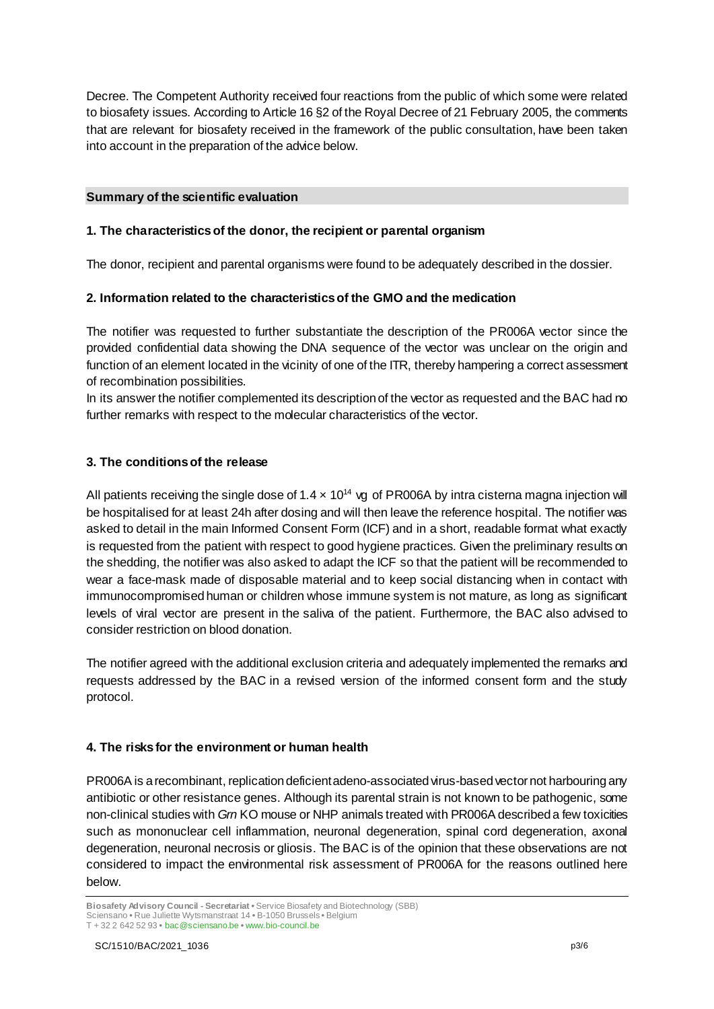Decree. The Competent Authority received four reactions from the public of which some were related to biosafety issues. According to Article 16 §2 of the Royal Decree of 21 February 2005, the comments that are relevant for biosafety received in the framework of the public consultation, have been taken into account in the preparation of the advice below.

### **Summary of the scientific evaluation**

### **1. The characteristics of the donor, the recipient or parental organism**

The donor, recipient and parental organisms were found to be adequately described in the dossier.

### **2. Information related to the characteristics of the GMO and the medication**

The notifier was requested to further substantiate the description of the PR006A vector since the provided confidential data showing the DNA sequence of the vector was unclear on the origin and function of an element located in the vicinity of one of the ITR, thereby hampering a correct assessment of recombination possibilities.

In its answer the notifier complemented its description of the vector as requested and the BAC had no further remarks with respect to the molecular characteristics of the vector.

### **3. The conditions of the release**

All patients receiving the single dose of  $1.4 \times 10^{14}$  vg of PR006A by intra cisterna magna injection will be hospitalised for at least 24h after dosing and will then leave the reference hospital. The notifier was asked to detail in the main Informed Consent Form (ICF) and in a short, readable format what exactly is requested from the patient with respect to good hygiene practices. Given the preliminary results on the shedding, the notifier was also asked to adapt the ICF so that the patient will be recommended to wear a face-mask made of disposable material and to keep social distancing when in contact with immunocompromised human or children whose immune system is not mature, as long as significant levels of viral vector are present in the saliva of the patient. Furthermore, the BAC also advised to consider restriction on blood donation.

The notifier agreed with the additional exclusion criteria and adequately implemented the remarks and requests addressed by the BAC in a revised version of the informed consent form and the study protocol.

### **4. The risks for the environment or human health**

PR006A is a recombinant, replication deficient adeno-associated virus-based vector not harbouring any antibiotic or other resistance genes. Although its parental strain is not known to be pathogenic, some non-clinical studies with *Grn* KO mouse or NHP animals treated with PR006A described a few toxicities such as mononuclear cell inflammation, neuronal degeneration, spinal cord degeneration, axonal degeneration, neuronal necrosis or gliosis. The BAC is of the opinion that these observations are not considered to impact the environmental risk assessment of PR006A for the reasons outlined here below.

**Biosafety Advisory Council - Secretariat •** Service Biosafety and Biotechnology (SBB) Sciensano **•** Rue Juliette Wytsmanstraat 14 **•** B-1050 Brussels **•** Belgium T + 32 2 642 52 93 **•** bac@sciensano.be **•** www.bio-council.be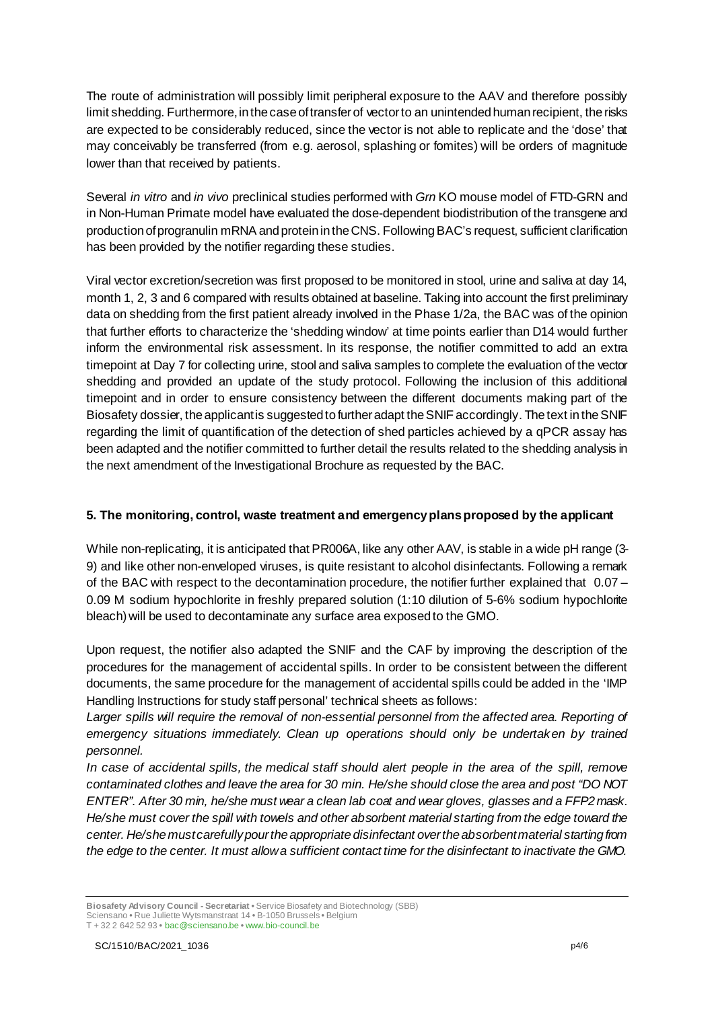The route of administration will possibly limit peripheral exposure to the AAV and therefore possibly limit shedding. Furthermore, in the case of transfer of vector to an unintended human recipient, the risks are expected to be considerably reduced, since the vector is not able to replicate and the 'dose' that may conceivably be transferred (from e.g. aerosol, splashing or fomites) will be orders of magnitude lower than that received by patients.

Several *in vitro* and *in vivo* preclinical studies performed with *Grn* KO mouse model of FTD-GRN and in Non-Human Primate model have evaluated the dose-dependent biodistribution of the transgene and production of progranulin mRNA and protein in the CNS. Following BAC's request, sufficient clarification has been provided by the notifier regarding these studies.

Viral vector excretion/secretion was first proposed to be monitored in stool, urine and saliva at day 14, month 1, 2, 3 and 6 compared with results obtained at baseline. Taking into account the first preliminary data on shedding from the first patient already involved in the Phase 1/2a, the BAC was of the opinion that further efforts to characterize the 'shedding window' at time points earlier than D14 would further inform the environmental risk assessment. In its response, the notifier committed to add an extra timepoint at Day 7 for collecting urine, stool and saliva samples to complete the evaluation of the vector shedding and provided an update of the study protocol. Following the inclusion of this additional timepoint and in order to ensure consistency between the different documents making part of the Biosafety dossier, the applicant is suggested to further adapt the SNIF accordingly. The text in the SNIF regarding the limit of quantification of the detection of shed particles achieved by a qPCR assay has been adapted and the notifier committed to further detail the results related to the shedding analysis in the next amendment of the Investigational Brochure as requested by the BAC.

### **5. The monitoring, control, waste treatment and emergency plans proposed by the applicant**

While non-replicating, it is anticipated that PR006A, like any other AAV, is stable in a wide pH range (3-9) and like other non-enveloped viruses, is quite resistant to alcohol disinfectants. Following a remark of the BAC with respect to the decontamination procedure, the notifier further explained that 0.07 – 0.09 M sodium hypochlorite in freshly prepared solution (1:10 dilution of 5-6% sodium hypochlorite bleach)will be used to decontaminate any surface area exposed to the GMO.

Upon request, the notifier also adapted the SNIF and the CAF by improving the description of the procedures for the management of accidental spills. In order to be consistent between the different documents, the same procedure for the management of accidental spills could be added in the 'IMP Handling Instructions for study staff personal' technical sheets as follows:

Larger spills will require the removal of non-essential personnel from the affected area. Reporting of *emergency situations immediately. Clean up operations should only be undertaken by trained personnel.* 

*In case of accidental spills, the medical staff should alert people in the area of the spill, remove contaminated clothes and leave the area for 30 min. He/she should close the area and post "DO NOT ENTER". After 30 min, he/she must wear a clean lab coat and wear gloves, glasses and a FFP2 mask. He/she must cover the spill with towels and other absorbent material starting from the edge toward the center. He/she must carefully pour the appropriate disinfectant over the absorbent material starting from the edge to the center. It must allow a sufficient contact time for the disinfectant to inactivate the GMO.* 

**Biosafety Advisory Council - Secretariat •** Service Biosafety and Biotechnology (SBB) Sciensano **•** Rue Juliette Wytsmanstraat 14 **•** B-1050 Brussels **•** Belgium T + 32 2 642 52 93 **•** bac@sciensano.be **•** www.bio-council.be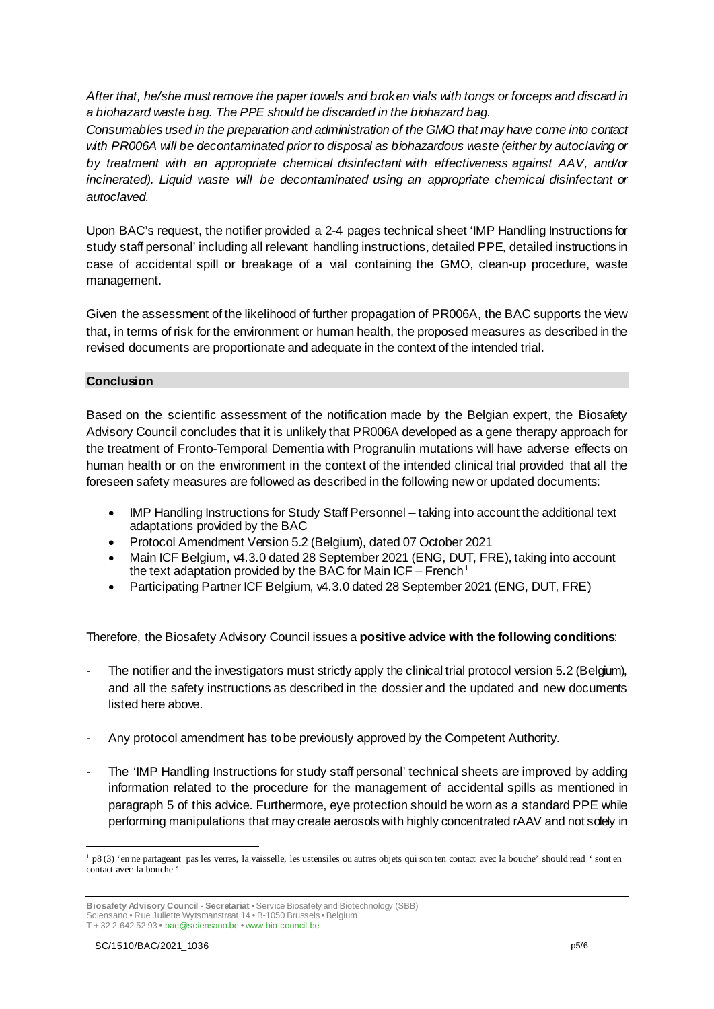*After that, he/she must remove the paper towels and broken vials with tongs or forceps and discard in a biohazard waste bag. The PPE should be discarded in the biohazard bag.* 

*Consumables used in the preparation and administration of the GMO that may have come into contact with PR006A will be decontaminated prior to disposal as biohazardous waste (either by autoclaving or by treatment with an appropriate chemical disinfectant with effectiveness against AAV, and/or incinerated). Liquid waste will be decontaminated using an appropriate chemical disinfectant or autoclaved.*

Upon BAC's request, the notifier provided a 2-4 pages technical sheet 'IMP Handling Instructions for study staff personal' including all relevant handling instructions, detailed PPE, detailed instructions in case of accidental spill or breakage of a vial containing the GMO, clean-up procedure, waste management.

Given the assessment of the likelihood of further propagation of PR006A, the BAC supports the view that, in terms of risk for the environment or human health, the proposed measures as described in the revised documents are proportionate and adequate in the context of the intended trial.

### **Conclusion**

Based on the scientific assessment of the notification made by the Belgian expert, the Biosafety Advisory Council concludes that it is unlikely that PR006A developed as a gene therapy approach for the treatment of Fronto-Temporal Dementia with Progranulin mutations will have adverse effects on human health or on the environment in the context of the intended clinical trial provided that all the foreseen safety measures are followed as described in the following new or updated documents:

- IMP Handling Instructions for Study Staff Personnel taking into account the additional text adaptations provided by the BAC
- Protocol Amendment Version 5.2 (Belgium), dated 07 October 2021
- Main ICF Belgium, v4.3.0 dated 28 September 2021 (ENG, DUT, FRE), taking into account the text adaptation provided by the BAC for Main  $ICF - French<sup>1</sup>$  $ICF - French<sup>1</sup>$  $ICF - French<sup>1</sup>$
- Participating Partner ICF Belgium, v4.3.0 dated 28 September 2021 (ENG, DUT, FRE)

Therefore, the Biosafety Advisory Council issues a **positive advice with the following conditions**:

- The notifier and the investigators must strictly apply the clinical trial protocol version 5.2 (Belgium), and all the safety instructions as described in the dossier and the updated and new documents listed here above.
- Any protocol amendment has to be previously approved by the Competent Authority.
- The 'IMP Handling Instructions for study staff personal' technical sheets are improved by adding information related to the procedure for the management of accidental spills as mentioned in paragraph 5 of this advice. Furthermore, eye protection should be worn as a standard PPE while performing manipulations that may create aerosols with highly concentrated rAAV and not solely in

<span id="page-4-0"></span> <sup>1</sup> p8 (3) 'en ne partageant pas les verres, la vaisselle, les ustensiles ou autres objets qui son ten contact avec la bouche' should read ' sont en contact avec la bouche '

**Biosafety Advisory Council - Secretariat •** Service Biosafety and Biotechnology (SBB) Sciensano **•** Rue Juliette Wytsmanstraat 14 **•** B-1050 Brussels **•** Belgium

T + 32 2 642 52 93 **•** bac@sciensano.be **•** www.bio-council.be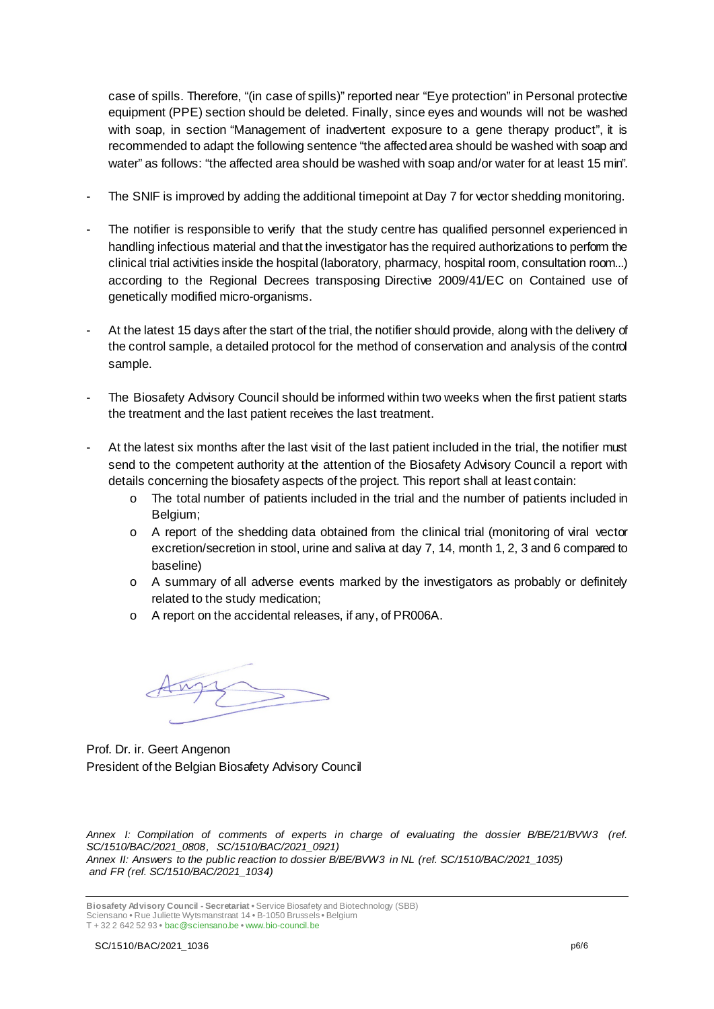case of spills. Therefore, "(in case of spills)" reported near "Eye protection" in Personal protective equipment (PPE) section should be deleted. Finally, since eyes and wounds will not be washed with soap, in section "Management of inadvertent exposure to a gene therapy product", it is recommended to adapt the following sentence "the affected area should be washed with soap and water" as follows: "the affected area should be washed with soap and/or water for at least 15 min".

- The SNIF is improved by adding the additional timepoint at Day 7 for vector shedding monitoring.
- The notifier is responsible to verify that the study centre has qualified personnel experienced in handling infectious material and that the investigator has the required authorizations to perform the clinical trial activities inside the hospital (laboratory, pharmacy, hospital room, consultation room...) according to the Regional Decrees transposing Directive 2009/41/EC on Contained use of genetically modified micro-organisms.
- At the latest 15 days after the start of the trial, the notifier should provide, along with the delivery of the control sample, a detailed protocol for the method of conservation and analysis of the control sample.
- The Biosafety Advisory Council should be informed within two weeks when the first patient starts the treatment and the last patient receives the last treatment.
- At the latest six months after the last visit of the last patient included in the trial, the notifier must send to the competent authority at the attention of the Biosafety Advisory Council a report with details concerning the biosafety aspects of the project. This report shall at least contain:
	- o The total number of patients included in the trial and the number of patients included in Belgium;
	- $\circ$  A report of the shedding data obtained from the clinical trial (monitoring of viral vector excretion/secretion in stool, urine and saliva at day 7, 14, month 1, 2, 3 and 6 compared to baseline)
	- $\circ$  A summary of all adverse events marked by the investigators as probably or definitely related to the study medication;
	- o A report on the accidental releases, if any, of PR006A.

Prof. Dr. ir. Geert Angenon President of the Belgian Biosafety Advisory Council

*Annex I: Compilation of comments of experts in charge of evaluating the dossier B/BE/21/BVW3 (ref. SC/1510/BAC/2021\_0808, SC/1510/BAC/2021\_0921) Annex II: Answers to the public reaction to dossier B/BE/BVW3 in NL (ref. SC/1510/BAC/2021\_1035) and FR (ref. SC/1510/BAC/2021\_1034)*

**Biosafety Advisory Council - Secretariat •** Service Biosafety and Biotechnology (SBB) Sciensano **•** Rue Juliette Wytsmanstraat 14 **•** B-1050 Brussels **•** Belgium T + 32 2 642 52 93 **•** bac@sciensano.be **•** www.bio-council.be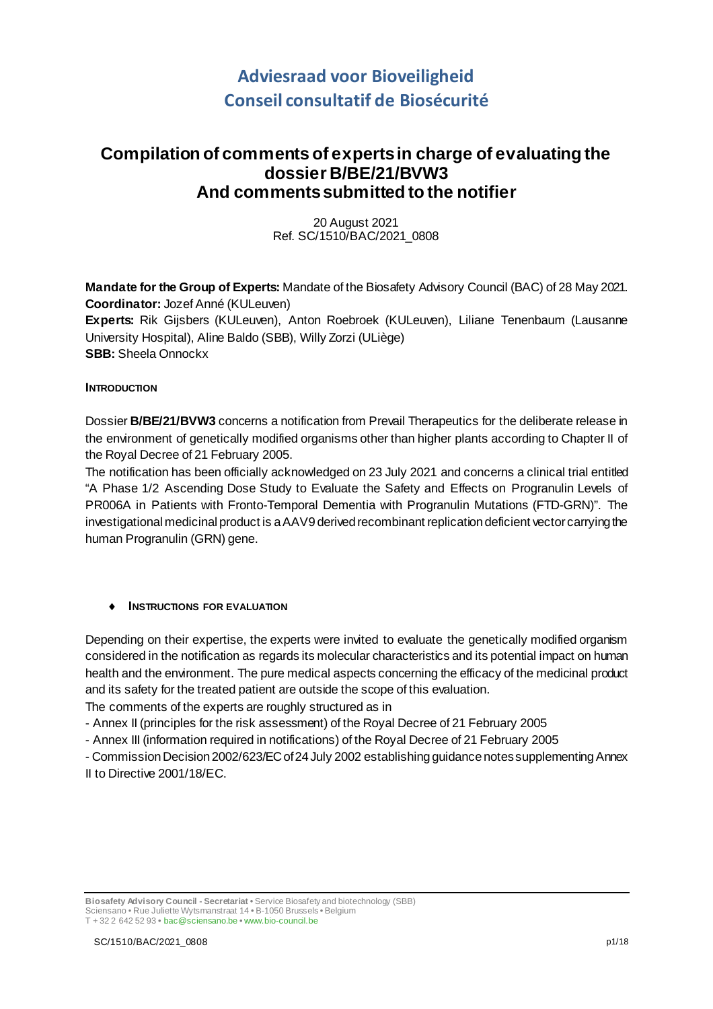# **Adviesraad voor Bioveiligheid Conseil consultatif de Biosécurité**

## **Compilation of comments of experts in charge of evaluating the dossier B/BE/21/BVW3 And comments submitted to the notifier**

20 August 2021 Ref. SC/1510/BAC/2021\_0808

**Mandate for the Group of Experts:** Mandate of the Biosafety Advisory Council (BAC) of 28 May 2021. **Coordinator:** Jozef Anné (KULeuven) **Experts:** Rik Gijsbers (KULeuven), Anton Roebroek (KULeuven), Liliane Tenenbaum (Lausanne University Hospital), Aline Baldo (SBB), Willy Zorzi (ULiège) **SBB:** Sheela Onnockx

### **INTRODUCTION**

Dossier **B/BE/21/BVW3** concerns a notification from Prevail Therapeutics for the deliberate release in the environment of genetically modified organisms other than higher plants according to Chapter II of the Royal Decree of 21 February 2005.

The notification has been officially acknowledged on 23 July 2021 and concerns a clinical trial entitled "A Phase 1/2 Ascending Dose Study to Evaluate the Safety and Effects on Progranulin Levels of PR006A in Patients with Fronto-Temporal Dementia with Progranulin Mutations (FTD-GRN)". The investigational medicinal product is a AAV9 derived recombinant replication deficient vector carrying the human Progranulin (GRN) gene.

### ♦ **INSTRUCTIONS FOR EVALUATION**

Depending on their expertise, the experts were invited to evaluate the genetically modified organism considered in the notification as regards its molecular characteristics and its potential impact on human health and the environment. The pure medical aspects concerning the efficacy of the medicinal product and its safety for the treated patient are outside the scope of this evaluation.

The comments of the experts are roughly structured as in

- Annex II (principles for the risk assessment) of the Royal Decree of 21 February 2005

- Annex III (information required in notifications) of the Royal Decree of 21 February 2005

- Commission Decision 2002/623/EC of 24 July 2002 establishing guidance notes supplementing Annex II to Directive 2001/18/EC.

**Biosafety Advisory Council - Secretariat •** Service Biosafety and biotechnology (SBB) Sciensano • Rue Juliette Wytsmanstraat 14 **•** B-1050 Brussels **•** Belgium T + 32 2 642 52 93 **•** bac@sciensano.be **•** www.bio-council.be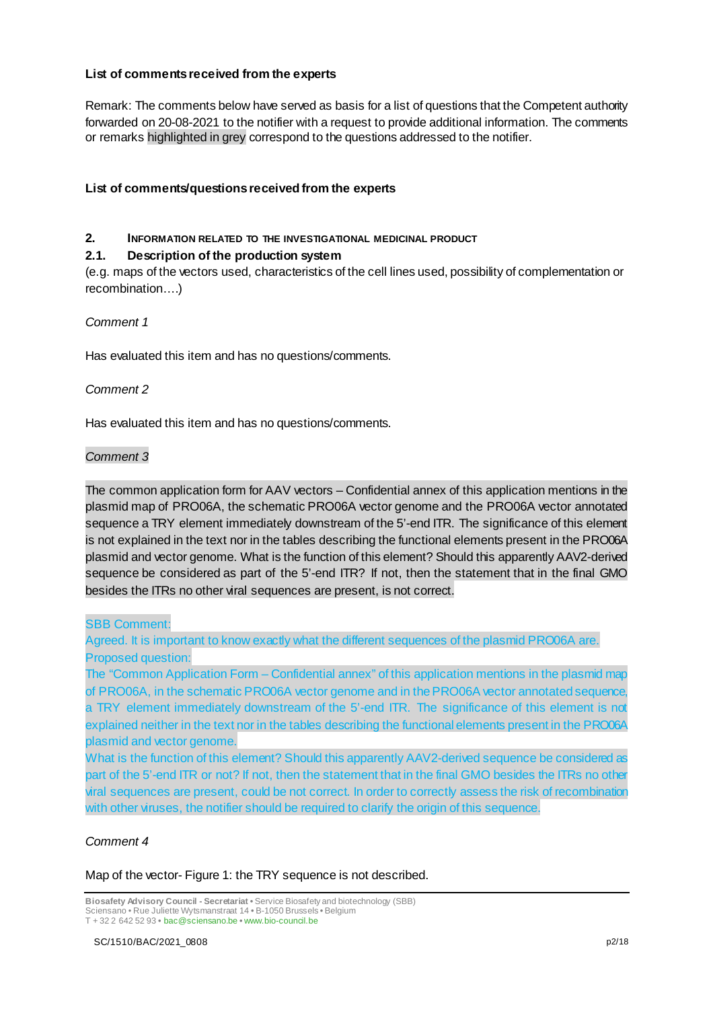#### **List of comments received from the experts**

Remark: The comments below have served as basis for a list of questions that the Competent authority forwarded on 20-08-2021 to the notifier with a request to provide additional information. The comments or remarks highlighted in grey correspond to the questions addressed to the notifier.

### **List of comments/questionsreceived from the experts**

### **2. INFORMATION RELATED TO THE INVESTIGATIONAL MEDICINAL PRODUCT**

### **2.1. Description of the production system**

(e.g. maps of the vectors used, characteristics of the cell lines used, possibility of complementation or recombination….)

### *Comment 1*

Has evaluated this item and has no questions/comments.

### *Comment 2*

Has evaluated this item and has no questions/comments.

### *Comment 3*

The common application form for AAV vectors – Confidential annex of this application mentions in the plasmid map of PRO06A, the schematic PRO06A vector genome and the PRO06A vector annotated sequence a TRY element immediately downstream of the 5'-end ITR. The significance of this element is not explained in the text nor in the tables describing the functional elements present in the PRO06A plasmid and vector genome. What is the function of this element? Should this apparently AAV2-derived sequence be considered as part of the 5'-end ITR? If not, then the statement that in the final GMO besides the ITRs no other viral sequences are present, is not correct.

### SBB Comment:

Agreed. It is important to know exactly what the different sequences of the plasmid PRO06A are. Proposed question:

The "Common Application Form – Confidential annex" of this application mentions in the plasmid map of PRO06A, in the schematic PRO06A vector genome and in the PRO06A vector annotated sequence, a TRY element immediately downstream of the 5'-end ITR. The significance of this element is not explained neither in the text nor in the tables describing the functional elements present in the PRO06A plasmid and vector genome.

What is the function of this element? Should this apparently AAV2-derived sequence be considered as part of the 5'-end ITR or not? If not, then the statement that in the final GMO besides the ITRs no other viral sequences are present, could be not correct. In order to correctly assess the risk of recombination with other viruses, the notifier should be required to clarify the origin of this sequence.

### *Comment 4*

Map of the vector- Figure 1: the TRY sequence is not described.

**Biosafety Advisory Council - Secretariat •** Service Biosafety and biotechnology (SBB) Sciensano • Rue Juliette Wytsmanstraat 14 **•** B-1050 Brussels **•** Belgium T + 32 2 642 52 93 **•** bac@sciensano.be **•** www.bio-council.be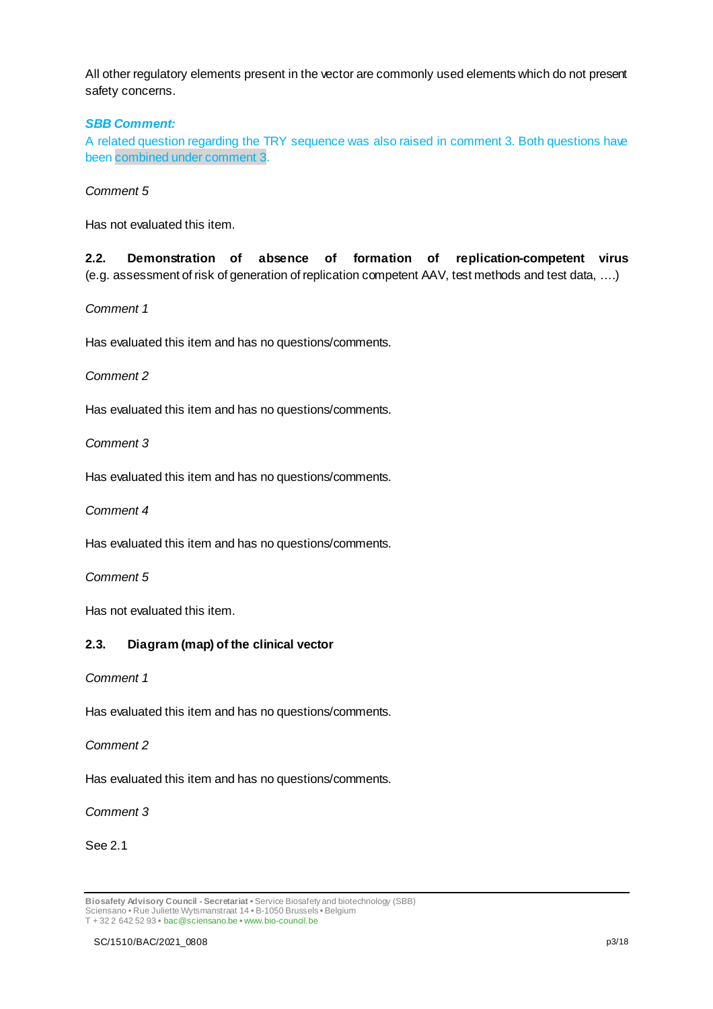All other regulatory elements present in the vector are commonly used elements which do not present safety concerns.

### *SBB Comment:*

A related question regarding the TRY sequence was also raised in comment 3. Both questions have been combined under comment 3.

#### *Comment 5*

Has not evaluated this item.

**2.2. Demonstration of absence of formation of replication-competent virus**  (e.g. assessment of risk of generation of replication competent AAV, test methods and test data, ….)

### *Comment 1*

Has evaluated this item and has no questions/comments.

#### *Comment 2*

Has evaluated this item and has no questions/comments.

#### *Comment 3*

Has evaluated this item and has no questions/comments.

*Comment 4*

Has evaluated this item and has no questions/comments.

### *Comment 5*

Has not evaluated this item.

### **2.3. Diagram (map) of the clinical vector**

#### *Comment 1*

Has evaluated this item and has no questions/comments.

#### *Comment 2*

Has evaluated this item and has no questions/comments.

#### *Comment 3*

#### See 2.1

**Biosafety Advisory Council - Secretariat •** Service Biosafety and biotechnology (SBB) Sciensano • Rue Juliette Wytsmanstraat 14 **•** B-1050 Brussels **•** Belgium T + 32 2 642 52 93 **•** bac@sciensano.be **•** www.bio-council.be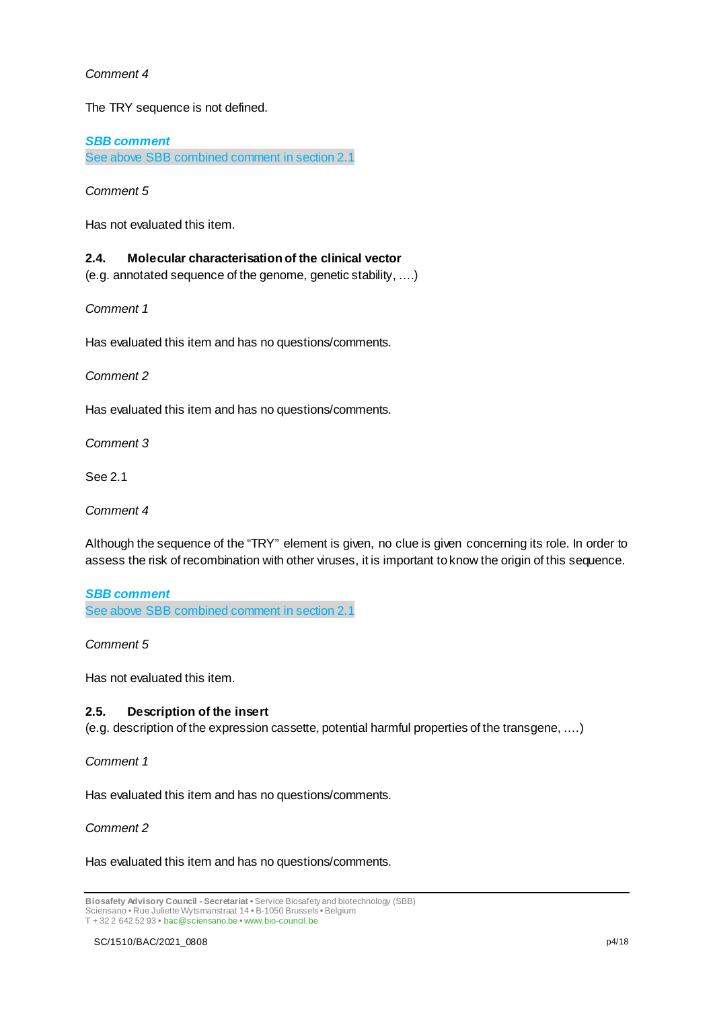### *Comment 4*

The TRY sequence is not defined.

*SBB comment*  See above SBB combined comment in section 2.1

*Comment 5*

Has not evaluated this item.

### **2.4. Molecular characterisation of the clinical vector**

(e.g. annotated sequence of the genome, genetic stability, ….)

*Comment 1*

Has evaluated this item and has no questions/comments.

*Comment 2*

Has evaluated this item and has no questions/comments.

*Comment 3*

See 2.1

*Comment 4*

Although the sequence of the "TRY" element is given, no clue is given concerning its role. In order to assess the risk of recombination with other viruses, it is important to know the origin of this sequence.

*SBB comment*  See above SBB combined comment in section 2.1

*Comment 5*

Has not evaluated this item.

### **2.5. Description of the insert**

(e.g. description of the expression cassette, potential harmful properties of the transgene, ….)

*Comment 1*

Has evaluated this item and has no questions/comments.

*Comment 2*

Has evaluated this item and has no questions/comments.

**Biosafety Advisory Council - Secretariat •** Service Biosafety and biotechnology (SBB) Sciensano • Rue Juliette Wytsmanstraat 14 **•** B-1050 Brussels **•** Belgium T + 32 2 642 52 93 **•** bac@sciensano.be **•** www.bio-council.be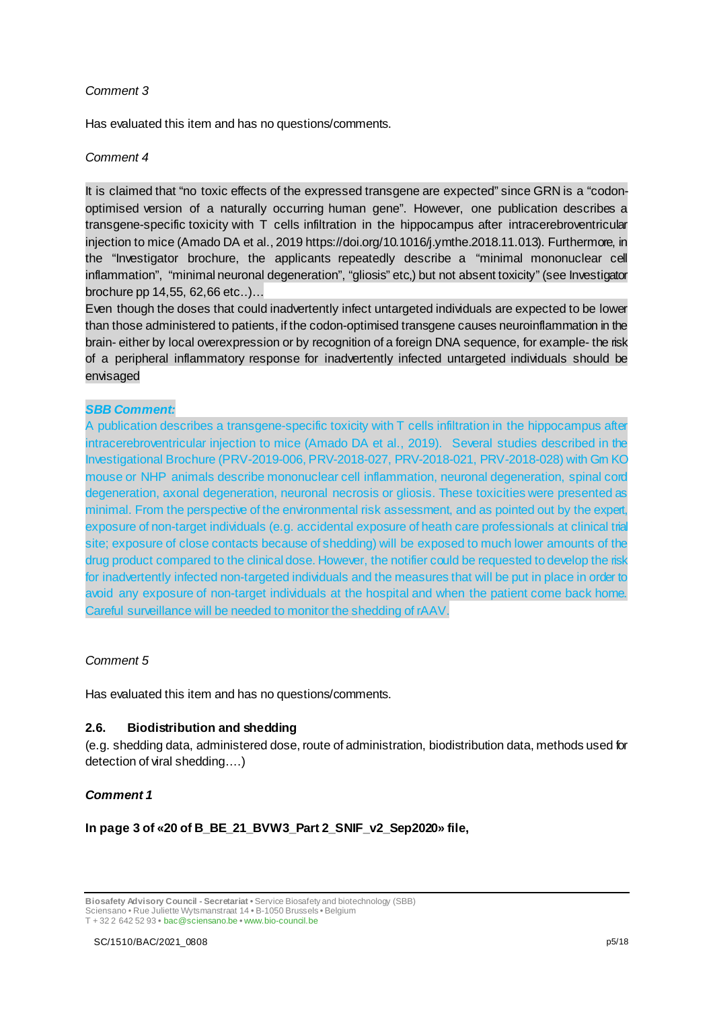### *Comment 3*

Has evaluated this item and has no questions/comments.

### *Comment 4*

It is claimed that "no toxic effects of the expressed transgene are expected" since GRN is a "codonoptimised version of a naturally occurring human gene". However, one publication describes a transgene-specific toxicity with T cells infiltration in the hippocampus after intracerebroventricular injection to mice (Amado DA et al., 2019 https://doi.org/10.1016/j.ymthe.2018.11.013). Furthermore, in the "Investigator brochure, the applicants repeatedly describe a "minimal mononuclear cell inflammation", "minimal neuronal degeneration", "gliosis" etc,) but not absent toxicity" (see Investigator brochure pp 14,55, 62,66 etc..)…

Even though the doses that could inadvertently infect untargeted individuals are expected to be lower than those administered to patients, if the codon-optimised transgene causes neuroinflammation in the brain- either by local overexpression or by recognition of a foreign DNA sequence, for example- the risk of a peripheral inflammatory response for inadvertently infected untargeted individuals should be envisaged

### *SBB Comment:*

A publication describes a transgene-specific toxicity with T cells infiltration in the hippocampus after intracerebroventricular injection to mice (Amado DA et al., 2019). Several studies described in the Investigational Brochure (PRV-2019-006, PRV-2018-027, PRV-2018-021, PRV-2018-028) with Grn KO mouse or NHP animals describe mononuclear cell inflammation, neuronal degeneration, spinal cord degeneration, axonal degeneration, neuronal necrosis or gliosis. These toxicities were presented as minimal. From the perspective of the environmental risk assessment, and as pointed out by the expert, exposure of non-target individuals (e.g. accidental exposure of heath care professionals at clinical trial site; exposure of close contacts because of shedding) will be exposed to much lower amounts of the drug product compared to the clinical dose. However, the notifier could be requested to develop the risk for inadvertently infected non-targeted individuals and the measures that will be put in place in order to avoid any exposure of non-target individuals at the hospital and when the patient come back home. Careful surveillance will be needed to monitor the shedding of rAAV.

### *Comment 5*

Has evaluated this item and has no questions/comments.

### **2.6. Biodistribution and shedding**

(e.g. shedding data, administered dose, route of administration, biodistribution data, methods used for detection of viral shedding….)

### *Comment 1*

**In page 3 of «20 of B\_BE\_21\_BVW3\_Part 2\_SNIF\_v2\_Sep2020» file,** 

**Biosafety Advisory Council - Secretariat •** Service Biosafety and biotechnology (SBB) Sciensano • Rue Juliette Wytsmanstraat 14 **•** B-1050 Brussels **•** Belgium T + 32 2 642 52 93 **•** bac@sciensano.be **•** www.bio-council.be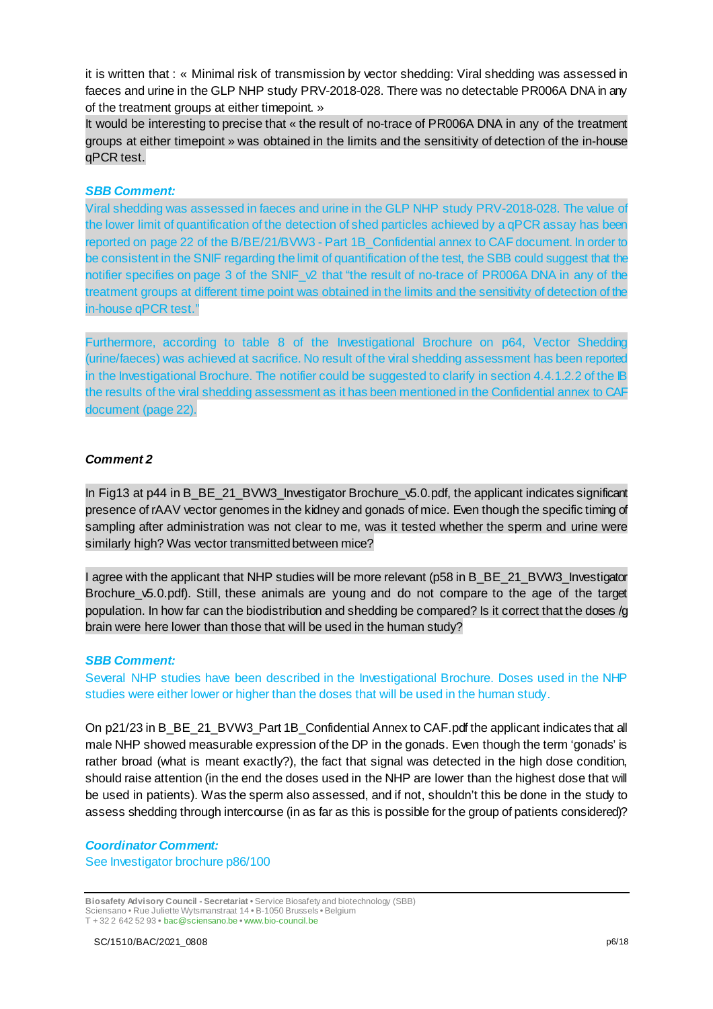it is written that : « Minimal risk of transmission by vector shedding: Viral shedding was assessed in faeces and urine in the GLP NHP study PRV-2018-028. There was no detectable PR006A DNA in any of the treatment groups at either timepoint. »

It would be interesting to precise that « the result of no-trace of PR006A DNA in any of the treatment groups at either timepoint » was obtained in the limits and the sensitivity of detection of the in-house qPCR test.

#### *SBB Comment:*

Viral shedding was assessed in faeces and urine in the GLP NHP study PRV-2018-028. The value of the lower limit of quantification of the detection of shed particles achieved by a qPCR assay has been reported on page 22 of the B/BE/21/BVW3 - Part 1B\_Confidential annex to CAF document. In order to be consistent in the SNIF regarding the limit of quantification of the test, the SBB could suggest that the notifier specifies on page 3 of the SNIF  $\sqrt{2}$  that "the result of no-trace of PR006A DNA in any of the treatment groups at different time point was obtained in the limits and the sensitivity of detection of the in-house qPCR test."

Furthermore, according to table 8 of the Investigational Brochure on p64, Vector Shedding (urine/faeces) was achieved at sacrifice. No result of the viral shedding assessment has been reported in the Investigational Brochure. The notifier could be suggested to clarify in section 4.4.1.2.2 of the IB the results of the viral shedding assessment as it has been mentioned in the Confidential annex to CAF document (page 22).

#### *Comment 2*

In Fig13 at p44 in B\_BE\_21\_BVW3\_Investigator Brochure\_v5.0.pdf, the applicant indicates significant presence of rAAV vector genomes in the kidney and gonads of mice. Even though the specific timing of sampling after administration was not clear to me, was it tested whether the sperm and urine were similarly high? Was vector transmitted between mice?

I agree with the applicant that NHP studies will be more relevant (p58 in B\_BE\_21\_BVW3\_Investigator Brochure\_v5.0.pdf). Still, these animals are young and do not compare to the age of the target population. In how far can the biodistribution and shedding be compared? Is it correct that the doses /g brain were here lower than those that will be used in the human study?

#### *SBB Comment:*

Several NHP studies have been described in the Investigational Brochure. Doses used in the NHP studies were either lower or higher than the doses that will be used in the human study.

On p21/23 in B\_BE\_21\_BVW3\_Part 1B\_Confidential Annex to CAF.pdf the applicant indicates that all male NHP showed measurable expression of the DP in the gonads. Even though the term 'gonads' is rather broad (what is meant exactly?), the fact that signal was detected in the high dose condition, should raise attention (in the end the doses used in the NHP are lower than the highest dose that will be used in patients). Was the sperm also assessed, and if not, shouldn't this be done in the study to assess shedding through intercourse (in as far as this is possible for the group of patients considered)?

### *Coordinator Comment:*

See Investigator brochure p86/100

**Biosafety Advisory Council - Secretariat •** Service Biosafety and biotechnology (SBB) Sciensano • Rue Juliette Wytsmanstraat 14 **•** B-1050 Brussels **•** Belgium T + 32 2 642 52 93 **•** bac@sciensano.be **•** www.bio-council.be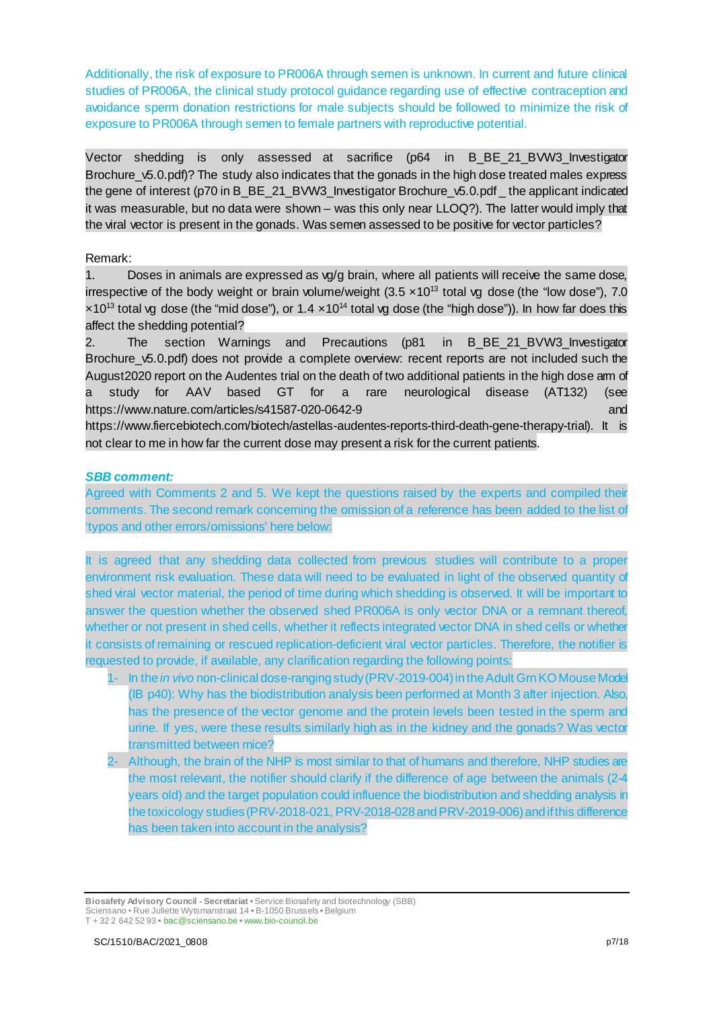Additionally, the risk of exposure to PR006A through semen is unknown. In current and future clinical studies of PR006A, the clinical study protocol guidance regarding use of effective contraception and avoidance sperm donation restrictions for male subjects should be followed to minimize the risk of exposure to PR006A through semen to female partners with reproductive potential.

Vector shedding is only assessed at sacrifice (p64 in B\_BE\_21\_BVW3\_Investigator Brochure v5.0.pdf)? The study also indicates that the gonads in the high dose treated males express the gene of interest (p70 in B\_BE\_21\_BVW3\_Investigator Brochure\_v5.0.pdf \_ the applicant indicated it was measurable, but no data were shown – was this only near LLOQ?). The latter would imply that the viral vector is present in the gonads. Was semen assessed to be positive for vector particles?

Remark:

1. Doses in animals are expressed as vg/g brain, where all patients will receive the same dose, irrespective of the body weight or brain volume/weight  $(3.5 \times 10^{13} \text{ total} \text{ vq} \text{ dose}$  (the "low dose"), 7.0  $\times$ 10<sup>13</sup> total vg dose (the "mid dose"), or 1.4  $\times$ 10<sup>14</sup> total vg dose (the "high dose")). In how far does this affect the shedding potential?

2. The section Warnings and Precautions (p81 in B\_BE\_21\_BVW3\_Investigator Brochure v5.0.pdf) does not provide a complete overview: recent reports are not included such the August2020 report on the Audentes trial on the death of two additional patients in the high dose arm of a study for AAV based GT for a rare neurological disease (AT132) (see https://www.nature.com/articles/s41587-020-0642-9 and https://www.fiercebiotech.com/biotech/astellas-audentes-reports-third-death-gene-therapy-trial). It is

not clear to me in how far the current dose may present a risk for the current patients.

### *SBB comment:*

Agreed with Comments 2 and 5. We kept the questions raised by the experts and compiled their comments. The second remark concerning the omission of a reference has been added to the list of 'typos and other errors/omissions' here below:

It is agreed that any shedding data collected from previous studies will contribute to a proper environment risk evaluation. These data will need to be evaluated in light of the observed quantity of shed viral vector material, the period of time during which shedding is observed. It will be important to answer the question whether the observed shed PR006A is only vector DNA or a remnant thereof, whether or not present in shed cells, whether it reflects integrated vector DNA in shed cells or whether it consists of remaining or rescued replication-deficient viral vector particles. Therefore, the notifier is requested to provide, if available, any clarification regarding the following points:

- 1- In the *in vivo* non-clinical dose-ranging study (PRV-2019-004) in the Adult Grn KO Mouse Model (IB p40): Why has the biodistribution analysis been performed at Month 3 after injection. Also, has the presence of the vector genome and the protein levels been tested in the sperm and urine. If yes, were these results similarly high as in the kidney and the gonads? Was vector transmitted between mice?
- Although, the brain of the NHP is most similar to that of humans and therefore, NHP studies are the most relevant, the notifier should clarify if the difference of age between the animals (2-4 years old) and the target population could influence the biodistribution and shedding analysis in the toxicology studies (PRV-2018-021, PRV-2018-028 and PRV-2019-006) and if this difference has been taken into account in the analysis?

**Biosafety Advisory Council - Secretariat •** Service Biosafety and biotechnology (SBB) Sciensano • Rue Juliette Wytsmanstraat 14 **•** B-1050 Brussels **•** Belgium T + 32 2 642 52 93 **•** bac@sciensano.be **•** www.bio-council.be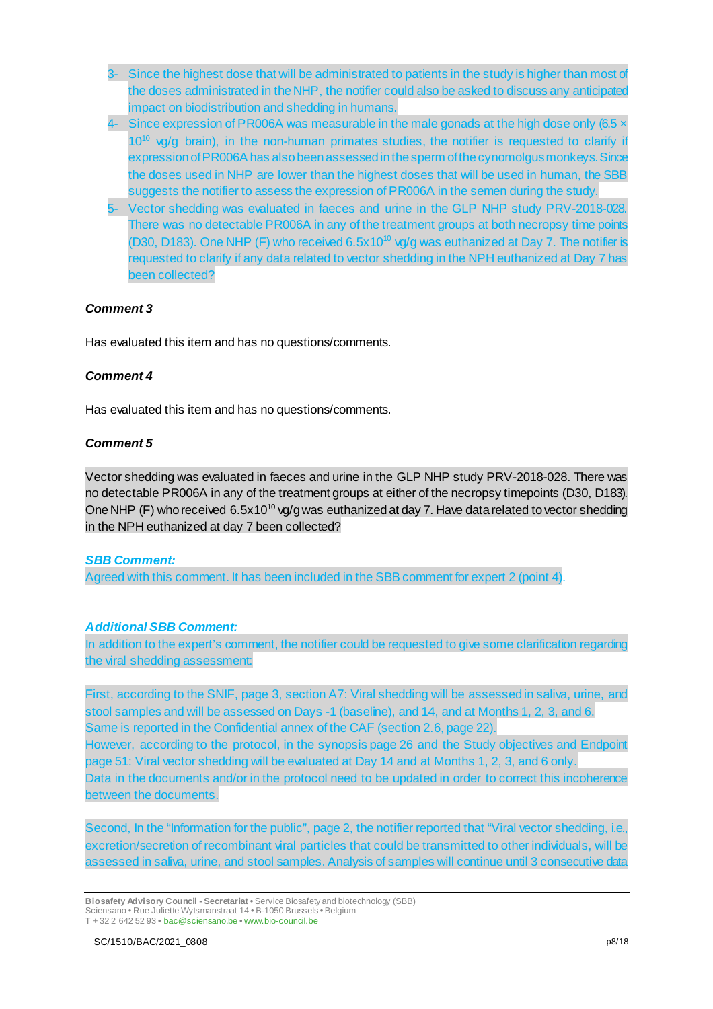- 3- Since the highest dose that will be administrated to patients in the study is higher than most of the doses administrated in the NHP, the notifier could also be asked to discuss any anticipated impact on biodistribution and shedding in humans.
- 4- Since expression of PR006A was measurable in the male gonads at the high dose only (6.5 x  $10^{10}$  vg/g brain), in the non-human primates studies, the notifier is requested to clarify if expression of PR006A has also been assessed in the sperm of the cynomolgus monkeys. Since the doses used in NHP are lower than the highest doses that will be used in human, the SBB suggests the notifier to assess the expression of PR006A in the semen during the study.
- 5- Vector shedding was evaluated in faeces and urine in the GLP NHP study PRV-2018-028. There was no detectable PR006A in any of the treatment groups at both necropsy time points (D30, D183). One NHP (F) who received  $6.5x10^{10}$  vg/g was euthanized at Day 7. The notifier is requested to clarify if any data related to vector shedding in the NPH euthanized at Day 7 has been collected?

### *Comment 3*

Has evaluated this item and has no questions/comments.

### *Comment 4*

Has evaluated this item and has no questions/comments.

### *Comment 5*

Vector shedding was evaluated in faeces and urine in the GLP NHP study PRV-2018-028. There was no detectable PR006A in any of the treatment groups at either of the necropsy timepoints (D30, D183). One NHP (F) who received 6.5x10<sup>10</sup> vg/g was euthanized at day 7. Have data related to vector shedding in the NPH euthanized at day 7 been collected?

### *SBB Comment:*

Agreed with this comment. It has been included in the SBB comment for expert 2 (point 4).

### *Additional SBB Comment:*

In addition to the expert's comment, the notifier could be requested to give some clarification regarding the viral shedding assessment:

First, according to the SNIF, page 3, section A7: Viral shedding will be assessed in saliva, urine, and stool samples and will be assessed on Days -1 (baseline), and 14, and at Months 1, 2, 3, and 6. Same is reported in the Confidential annex of the CAF (section 2.6, page 22). However, according to the protocol, in the synopsis page 26 and the Study objectives and Endpoint page 51: Viral vector shedding will be evaluated at Day 14 and at Months 1, 2, 3, and 6 only. Data in the documents and/or in the protocol need to be updated in order to correct this incoherence between the documents.

Second, In the "Information for the public", page 2, the notifier reported that "Viral vector shedding, i.e., excretion/secretion of recombinant viral particles that could be transmitted to other individuals, will be assessed in saliva, urine, and stool samples. Analysis of samples will continue until 3 consecutive data

**Biosafety Advisory Council - Secretariat •** Service Biosafety and biotechnology (SBB) Sciensano • Rue Juliette Wytsmanstraat 14 **•** B-1050 Brussels **•** Belgium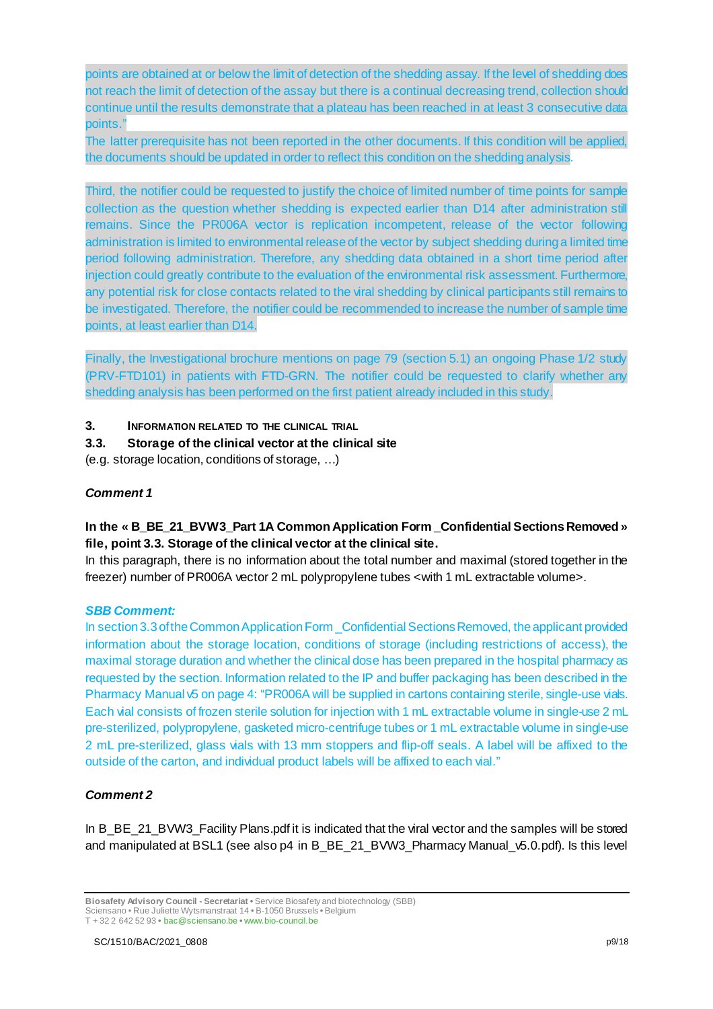points are obtained at or below the limit of detection of the shedding assay. If the level of shedding does not reach the limit of detection of the assay but there is a continual decreasing trend, collection should continue until the results demonstrate that a plateau has been reached in at least 3 consecutive data points."

The latter prerequisite has not been reported in the other documents. If this condition will be applied, the documents should be updated in order to reflect this condition on the shedding analysis.

Third, the notifier could be requested to justify the choice of limited number of time points for sample collection as the question whether shedding is expected earlier than D14 after administration still remains. Since the PR006A vector is replication incompetent, release of the vector following administration is limited to environmental release of the vector by subject shedding during a limited time period following administration. Therefore, any shedding data obtained in a short time period after injection could greatly contribute to the evaluation of the environmental risk assessment. Furthermore, any potential risk for close contacts related to the viral shedding by clinical participants still remains to be investigated. Therefore, the notifier could be recommended to increase the number of sample time points, at least earlier than D14.

Finally, the Investigational brochure mentions on page 79 (section 5.1) an ongoing Phase 1/2 study (PRV-FTD101) in patients with FTD-GRN. The notifier could be requested to clarify whether any shedding analysis has been performed on the first patient already included in this study.

**3. INFORMATION RELATED TO THE CLINICAL TRIAL**

### **3.3. Storage of the clinical vector at the clinical site**

(e.g. storage location, conditions of storage, …)

### *Comment 1*

### **In the « B\_BE\_21\_BVW3\_Part 1A Common Application Form \_Confidential Sections Removed » file, point 3.3. Storage of the clinical vector at the clinical site.**

In this paragraph, there is no information about the total number and maximal (stored together in the freezer) number of PR006A vector 2 mL polypropylene tubes <with 1 mL extractable volume>.

### *SBB Comment:*

In section 3.3 of the Common Application Form \_Confidential Sections Removed, the applicant provided information about the storage location, conditions of storage (including restrictions of access), the maximal storage duration and whether the clinical dose has been prepared in the hospital pharmacy as requested by the section. Information related to the IP and buffer packaging has been described in the Pharmacy Manual v5 on page 4: "PR006A will be supplied in cartons containing sterile, single-use vials. Each vial consists of frozen sterile solution for injection with 1 mL extractable volume in single-use 2 mL pre-sterilized, polypropylene, gasketed micro-centrifuge tubes or 1 mL extractable volume in single-use 2 mL pre-sterilized, glass vials with 13 mm stoppers and flip-off seals. A label will be affixed to the outside of the carton, and individual product labels will be affixed to each vial."

### *Comment 2*

In B\_BE\_21\_BVW3\_Facility Plans.pdf it is indicated that the viral vector and the samples will be stored and manipulated at BSL1 (see also p4 in B\_BE\_21\_BVW3\_Pharmacy Manual\_v5.0.pdf). Is this level

**Biosafety Advisory Council - Secretariat •** Service Biosafety and biotechnology (SBB) Sciensano • Rue Juliette Wytsmanstraat 14 **•** B-1050 Brussels **•** Belgium

T + 32 2 642 52 93 **•** bac@sciensano.be **•** www.bio-council.be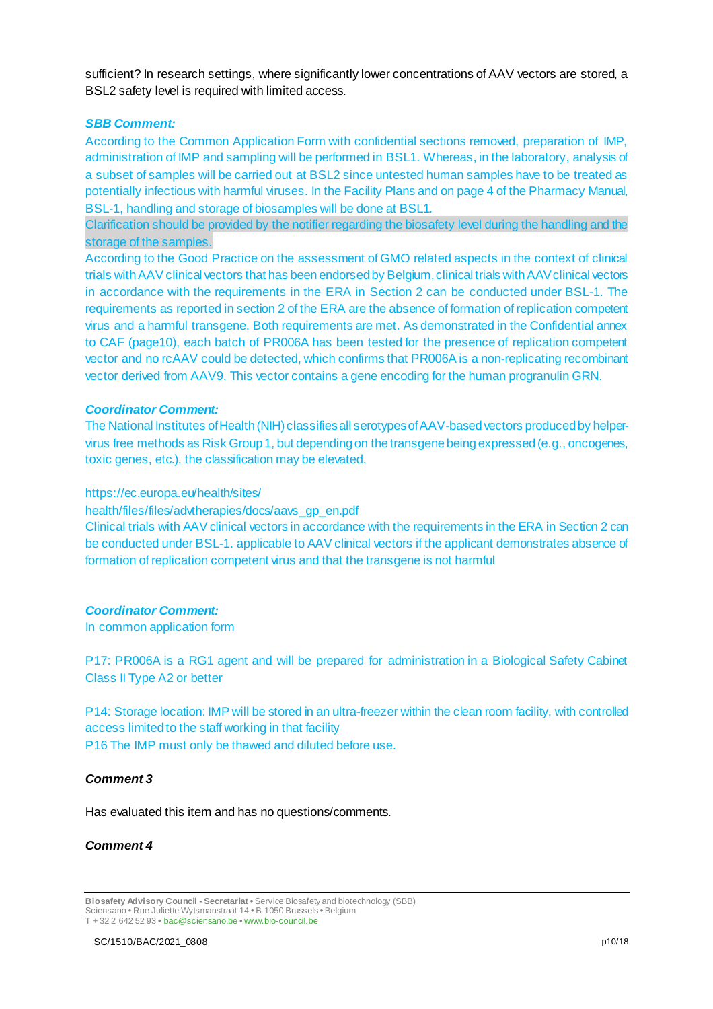sufficient? In research settings, where significantly lower concentrations of AAV vectors are stored, a BSL2 safety level is required with limited access.

#### *SBB Comment:*

According to the Common Application Form with confidential sections removed, preparation of IMP, administration of IMP and sampling will be performed in BSL1. Whereas, in the laboratory, analysis of a subset of samples will be carried out at BSL2 since untested human samples have to be treated as potentially infectious with harmful viruses. In the Facility Plans and on page 4 of the Pharmacy Manual, BSL-1, handling and storage of biosamples will be done at BSL1.

Clarification should be provided by the notifier regarding the biosafety level during the handling and the storage of the samples.

According to the Good Practice on the assessment of GMO related aspects in the context of clinical trials with AAV clinical vectors that has been endorsed by Belgium, clinical trials with AAV clinical vectors in accordance with the requirements in the ERA in Section 2 can be conducted under BSL-1. The requirements as reported in section 2 of the ERA are the absence of formation of replication competent virus and a harmful transgene. Both requirements are met. As demonstrated in the Confidential annex to CAF (page10), each batch of PR006A has been tested for the presence of replication competent vector and no rcAAV could be detected, which confirms that PR006A is a non-replicating recombinant vector derived from AAV9. This vector contains a gene encoding for the human progranulin GRN.

#### *Coordinator Comment:*

The National Institutes of Health (NIH) classifies all serotypes of AAV-based vectors produced by helpervirus free methods as Risk Group 1, but depending on the transgene being expressed (e.g., oncogenes, toxic genes, etc.), the classification may be elevated.

#### https://ec.europa.eu/health/sites/

health/files/files/advtherapies/docs/aavs\_gp\_en.pdf

Clinical trials with AAV clinical vectors in accordance with the requirements in the ERA in Section 2 can be conducted under BSL-1. applicable to AAV clinical vectors if the applicant demonstrates absence of formation of replication competent virus and that the transgene is not harmful

#### *Coordinator Comment:*

In common application form

P17: PR006A is a RG1 agent and will be prepared for administration in a Biological Safety Cabinet Class II Type A2 or better

P14: Storage location: IMP will be stored in an ultra-freezer within the clean room facility, with controlled access limited to the staff working in that facility P16 The IMP must only be thawed and diluted before use.

#### *Comment 3*

Has evaluated this item and has no questions/comments.

#### *Comment 4*

**Biosafety Advisory Council - Secretariat •** Service Biosafety and biotechnology (SBB) Sciensano • Rue Juliette Wytsmanstraat 14 **•** B-1050 Brussels **•** Belgium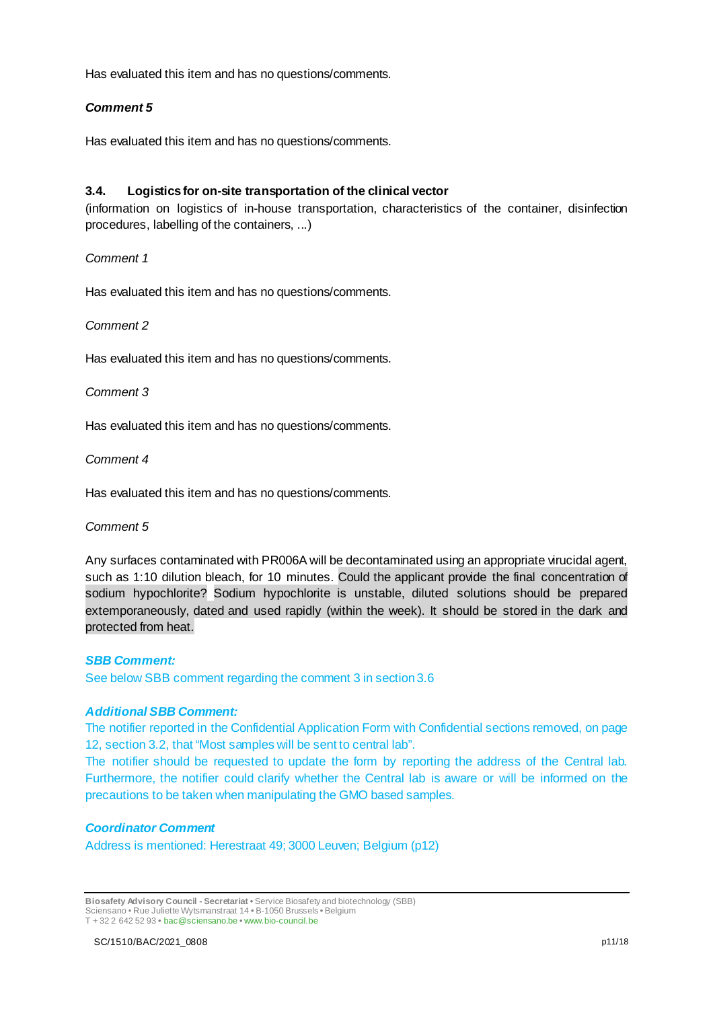Has evaluated this item and has no questions/comments.

### *Comment 5*

Has evaluated this item and has no questions/comments.

### **3.4. Logistics for on-site transportation of the clinical vector**

(information on logistics of in-house transportation, characteristics of the container, disinfection procedures, labelling of the containers, ...)

#### *Comment 1*

Has evaluated this item and has no questions/comments.

#### *Comment 2*

Has evaluated this item and has no questions/comments.

#### *Comment 3*

Has evaluated this item and has no questions/comments.

#### *Comment 4*

Has evaluated this item and has no questions/comments.

#### *Comment 5*

Any surfaces contaminated with PR006A will be decontaminated using an appropriate virucidal agent, such as 1:10 dilution bleach, for 10 minutes. Could the applicant provide the final concentration of sodium hypochlorite? Sodium hypochlorite is unstable, diluted solutions should be prepared extemporaneously, dated and used rapidly (within the week). It should be stored in the dark and protected from heat.

#### *SBB Comment:*

See below SBB comment regarding the comment 3 in section 3.6

### *Additional SBB Comment:*

The notifier reported in the Confidential Application Form with Confidential sections removed, on page 12, section 3.2, that "Most samples will be sent to central lab".

The notifier should be requested to update the form by reporting the address of the Central lab. Furthermore, the notifier could clarify whether the Central lab is aware or will be informed on the precautions to be taken when manipulating the GMO based samples.

### *Coordinator Comment*

Address is mentioned: Herestraat 49; 3000 Leuven; Belgium (p12)

**Biosafety Advisory Council - Secretariat •** Service Biosafety and biotechnology (SBB) Sciensano • Rue Juliette Wytsmanstraat 14 **•** B-1050 Brussels **•** Belgium

T + 32 2 642 52 93 **•** bac@sciensano.be **•** www.bio-council.be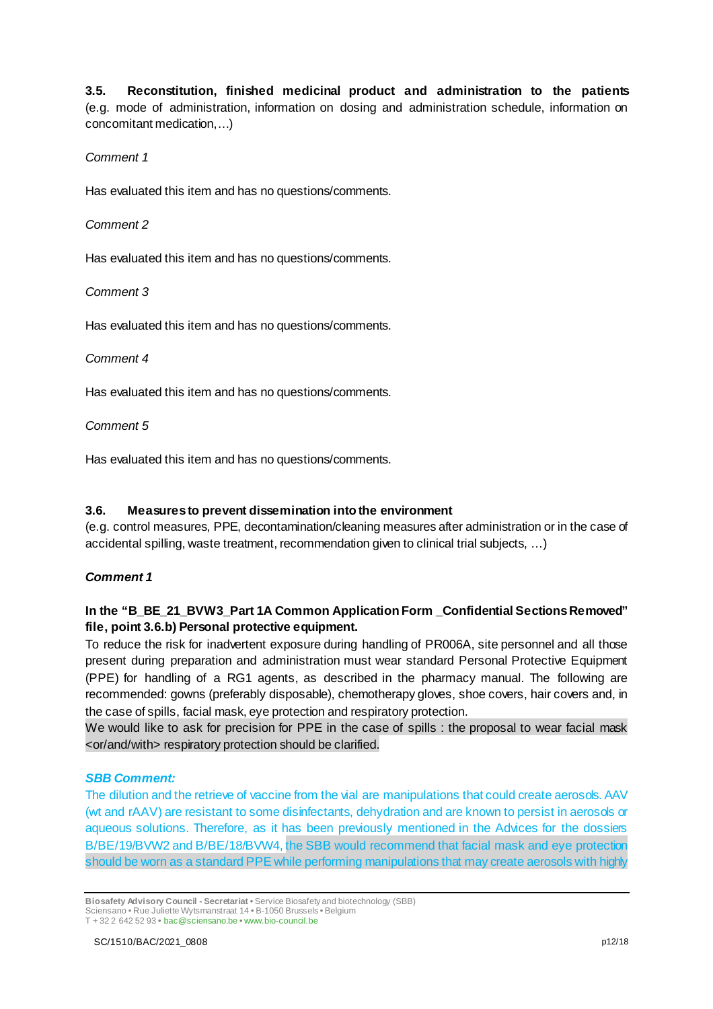**3.5. Reconstitution, finished medicinal product and administration to the patients** (e.g. mode of administration, information on dosing and administration schedule, information on concomitant medication,…)

### *Comment 1*

Has evaluated this item and has no questions/comments.

### *Comment 2*

Has evaluated this item and has no questions/comments.

### *Comment 3*

Has evaluated this item and has no questions/comments.

### *Comment 4*

Has evaluated this item and has no questions/comments.

*Comment 5*

Has evaluated this item and has no questions/comments.

### **3.6. Measures to prevent dissemination into the environment**

(e.g. control measures, PPE, decontamination/cleaning measures after administration or in the case of accidental spilling, waste treatment, recommendation given to clinical trial subjects, …)

### *Comment 1*

### **In the "B\_BE\_21\_BVW3\_Part 1A Common Application Form \_Confidential Sections Removed" file, point 3.6.b) Personal protective equipment.**

To reduce the risk for inadvertent exposure during handling of PR006A, site personnel and all those present during preparation and administration must wear standard Personal Protective Equipment (PPE) for handling of a RG1 agents, as described in the pharmacy manual. The following are recommended: gowns (preferably disposable), chemotherapy gloves, shoe covers, hair covers and, in the case of spills, facial mask, eye protection and respiratory protection.

We would like to ask for precision for PPE in the case of spills : the proposal to wear facial mask <or/and/with> respiratory protection should be clarified.

### *SBB Comment:*

The dilution and the retrieve of vaccine from the vial are manipulations that could create aerosols. AAV (wt and rAAV) are resistant to some disinfectants, dehydration and are known to persist in aerosols or aqueous solutions. Therefore, as it has been previously mentioned in the Advices for the dossiers B/BE/19/BVW2 and B/BE/18/BVW4, the SBB would recommend that facial mask and eye protection should be worn as a standard PPE while performing manipulations that may create aerosols with highly

**Biosafety Advisory Council - Secretariat •** Service Biosafety and biotechnology (SBB) Sciensano • Rue Juliette Wytsmanstraat 14 **•** B-1050 Brussels **•** Belgium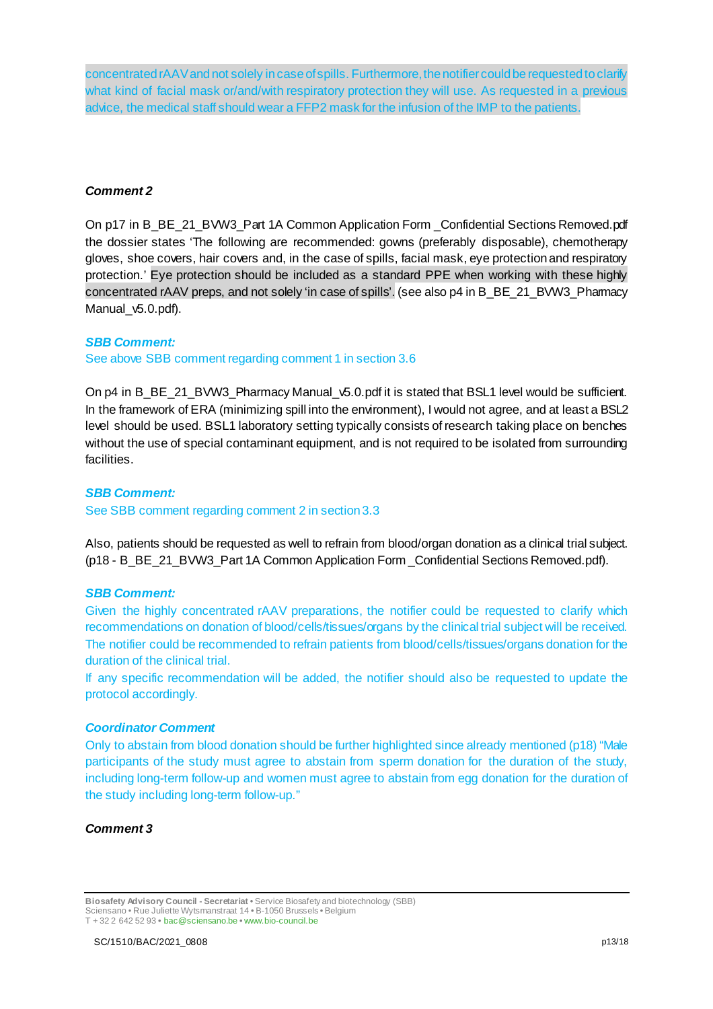concentrated rAAV and not solely in case of spills. Furthermore, the notifier could be requestedto clarify what kind of facial mask or/and/with respiratory protection they will use. As requested in a previous advice, the medical staff should wear a FFP2 mask for the infusion of the IMP to the patients.

#### *Comment 2*

On p17 in B\_BE\_21\_BVW3\_Part 1A Common Application Form \_Confidential Sections Removed.pdf the dossier states 'The following are recommended: gowns (preferably disposable), chemotherapy gloves, shoe covers, hair covers and, in the case of spills, facial mask, eye protection and respiratory protection.' Eye protection should be included as a standard PPE when working with these highly concentrated rAAV preps, and not solely 'in case of spills'. (see also p4 in B\_BE\_21\_BVW3\_Pharmacy Manual v5.0.pdf).

#### *SBB Comment:*

See above SBB comment regarding comment 1 in section 3.6

On p4 in B\_BE\_21\_BVW3\_Pharmacy Manual\_v5.0.pdf it is stated that BSL1 level would be sufficient. In the framework of ERA (minimizing spill into the environment), I would not agree, and at least a BSL2 level should be used. BSL1 laboratory setting typically consists of research taking place on benches without the use of special contaminant equipment, and is not required to be isolated from surrounding facilities.

#### *SBB Comment:*

See SBB comment regarding comment 2 in section 3.3

Also, patients should be requested as well to refrain from blood/organ donation as a clinical trial subject. (p18 - B\_BE\_21\_BVW3\_Part 1A Common Application Form \_Confidential Sections Removed.pdf).

#### *SBB Comment:*

Given the highly concentrated rAAV preparations, the notifier could be requested to clarify which recommendations on donation of blood/cells/tissues/organs by the clinical trial subject will be received. The notifier could be recommended to refrain patients from blood/cells/tissues/organs donation for the duration of the clinical trial.

If any specific recommendation will be added, the notifier should also be requested to update the protocol accordingly.

#### *Coordinator Comment*

Only to abstain from blood donation should be further highlighted since already mentioned (p18) "Male participants of the study must agree to abstain from sperm donation for the duration of the study, including long-term follow-up and women must agree to abstain from egg donation for the duration of the study including long-term follow-up."

### *Comment 3*

**Biosafety Advisory Council - Secretariat •** Service Biosafety and biotechnology (SBB) Sciensano • Rue Juliette Wytsmanstraat 14 **•** B-1050 Brussels **•** Belgium

T + 32 2 642 52 93 **•** bac@sciensano.be **•** www.bio-council.be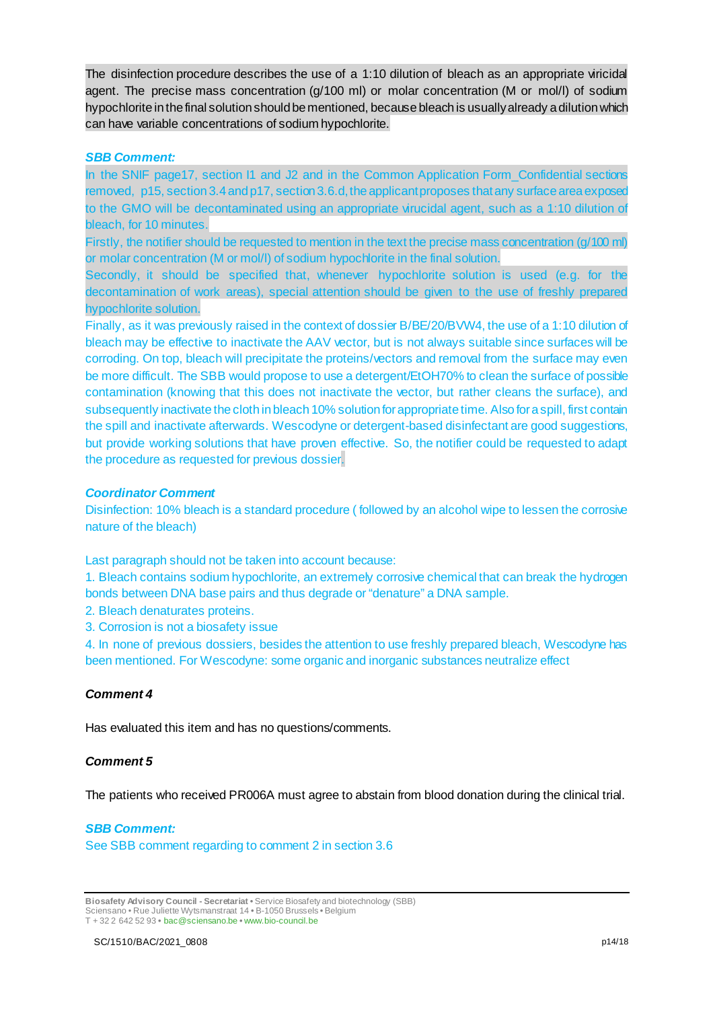The disinfection procedure describes the use of a 1:10 dilution of bleach as an appropriate viricidal agent. The precise mass concentration (g/100 ml) or molar concentration (M or mol/l) of sodium hypochlorite in the final solution should be mentioned, because bleach is usually already a dilution which can have variable concentrations of sodium hypochlorite.

#### *SBB Comment:*

In the SNIF page17, section I1 and J2 and in the Common Application Form Confidential sections removed, p15, section 3.4 and p17, section 3.6.d, the applicant proposes thatany surface area exposed to the GMO will be decontaminated using an appropriate virucidal agent, such as a 1:10 dilution of bleach, for 10 minutes.

Firstly, the notifier should be requested to mention in the text the precise mass concentration (g/100 ml) or molar concentration (M or mol/l) of sodium hypochlorite in the final solution.

Secondly, it should be specified that, whenever hypochlorite solution is used (e.g. for the decontamination of work areas), special attention should be given to the use of freshly prepared hypochlorite solution.

Finally, as it was previously raised in the context of dossier B/BE/20/BVW4, the use of a 1:10 dilution of bleach may be effective to inactivate the AAV vector, but is not always suitable since surfaces will be corroding. On top, bleach will precipitate the proteins/vectors and removal from the surface may even be more difficult. The SBB would propose to use a detergent/EtOH70% to clean the surface of possible contamination (knowing that this does not inactivate the vector, but rather cleans the surface), and subsequently inactivate the cloth in bleach 10% solution for appropriate time. Also for a spill, first contain the spill and inactivate afterwards. Wescodyne or detergent-based disinfectant are good suggestions, but provide working solutions that have proven effective. So, the notifier could be requested to adapt the procedure as requested for previous dossier.

#### *Coordinator Comment*

Disinfection: 10% bleach is a standard procedure ( followed by an alcohol wipe to lessen the corrosive nature of the bleach)

Last paragraph should not be taken into account because:

1. Bleach contains sodium hypochlorite, an extremely corrosive chemical that can break the hydrogen bonds between DNA base pairs and thus degrade or "denature" a DNA sample.

- 2. Bleach denaturates proteins.
- 3. Corrosion is not a biosafety issue

4. In none of previous dossiers, besides the attention to use freshly prepared bleach, Wescodyne has been mentioned. For Wescodyne: some organic and inorganic substances neutralize effect

### *Comment 4*

Has evaluated this item and has no questions/comments.

#### *Comment 5*

The patients who received PR006A must agree to abstain from blood donation during the clinical trial.

### *SBB Comment:*

See SBB comment regarding to comment 2 in section 3.6

**Biosafety Advisory Council - Secretariat •** Service Biosafety and biotechnology (SBB) Sciensano • Rue Juliette Wytsmanstraat 14 **•** B-1050 Brussels **•** Belgium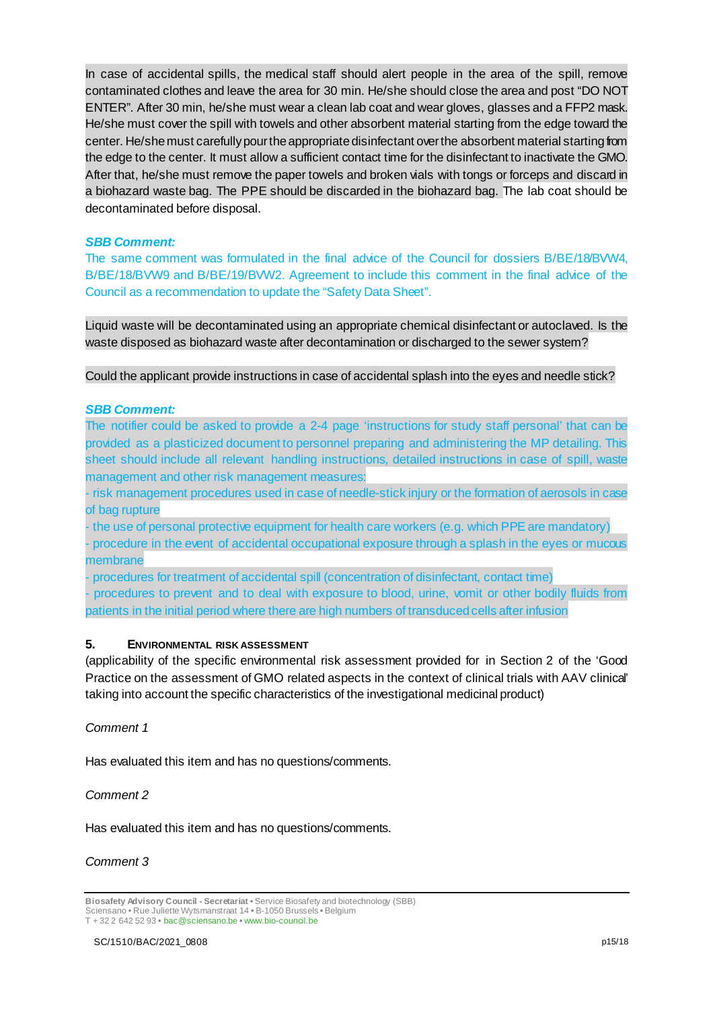In case of accidental spills, the medical staff should alert people in the area of the spill, remove contaminated clothes and leave the area for 30 min. He/she should close the area and post "DO NOT ENTER". After 30 min, he/she must wear a clean lab coat and wear gloves, glasses and a FFP2 mask. He/she must cover the spill with towels and other absorbent material starting from the edge toward the center. He/she must carefully pour the appropriate disinfectant over the absorbent material starting from the edge to the center. It must allow a sufficient contact time for the disinfectant to inactivate the GMO. After that, he/she must remove the paper towels and broken vials with tongs or forceps and discard in a biohazard waste bag. The PPE should be discarded in the biohazard bag. The lab coat should be decontaminated before disposal.

### *SBB Comment:*

The same comment was formulated in the final advice of the Council for dossiers B/BE/18/BVW4, B/BE/18/BVW9 and B/BE/19/BVW2. Agreement to include this comment in the final advice of the Council as a recommendation to update the "Safety Data Sheet".

Liquid waste will be decontaminated using an appropriate chemical disinfectant or autoclaved. Is the waste disposed as biohazard waste after decontamination or discharged to the sewer system?

Could the applicant provide instructions in case of accidental splash into the eyes and needle stick?

#### *SBB Comment:*

The notifier could be asked to provide a 2-4 page 'instructions for study staff personal' that can be provided as a plasticized document to personnel preparing and administering the MP detailing. This sheet should include all relevant handling instructions, detailed instructions in case of spill, waste management and other risk management measures:

- risk management procedures used in case of needle-stick injury or the formation of aerosols in case of bag rupture

- the use of personal protective equipment for health care workers (e.g. which PPE are mandatory)

- procedure in the event of accidental occupational exposure through a splash in the eyes or mucous membrane

- procedures for treatment of accidental spill (concentration of disinfectant, contact time)

procedures to prevent and to deal with exposure to blood, urine, vomit or other bodily fluids from patients in the initial period where there are high numbers of transduced cells after infusion

### **5. ENVIRONMENTAL RISK ASSESSMENT**

(applicability of the specific environmental risk assessment provided for in Section 2 of the 'Good Practice on the assessment of GMO related aspects in the context of clinical trials with AAV clinical' taking into account the specific characteristics of the investigational medicinal product)

### *Comment 1*

Has evaluated this item and has no questions/comments.

#### *Comment 2*

Has evaluated this item and has no questions/comments.

#### *Comment 3*

**Biosafety Advisory Council - Secretariat •** Service Biosafety and biotechnology (SBB) Sciensano • Rue Juliette Wytsmanstraat 14 **•** B-1050 Brussels **•** Belgium T + 32 2 642 52 93 **•** bac@sciensano.be **•** www.bio-council.be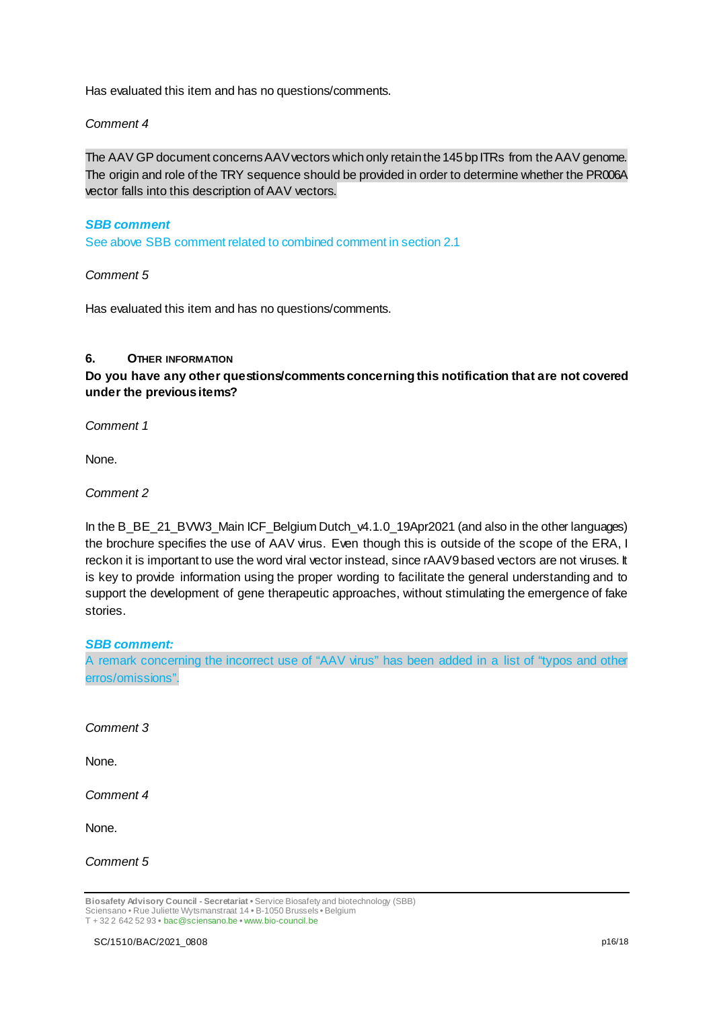Has evaluated this item and has no questions/comments.

### *Comment 4*

The AAV GP document concerns AAV vectors which only retain the 145 bp ITRs from the AAV genome. The origin and role of the TRY sequence should be provided in order to determine whether the PR006A vector falls into this description of AAV vectors.

#### *SBB comment*

See above SBB comment related to combined comment in section 2.1

#### *Comment 5*

Has evaluated this item and has no questions/comments.

#### **6. OTHER INFORMATION**

**Do you have any other questions/comments concerning this notification that are not covered under the previous items?** 

*Comment 1*

None.

*Comment 2*

In the B\_BE\_21\_BVW3\_Main ICF\_Belgium Dutch\_v4.1.0\_19Apr2021 (and also in the other languages) the brochure specifies the use of AAV virus. Even though this is outside of the scope of the ERA, I reckon it is important to use the word viral vector instead, since rAAV9 based vectors are not viruses. It is key to provide information using the proper wording to facilitate the general understanding and to support the development of gene therapeutic approaches, without stimulating the emergence of fake stories.

### *SBB comment:*

A remark concerning the incorrect use of "AAV virus" has been added in a list of "typos and other erros/omissions".

#### *Comment 3*

None.

*Comment 4*

None.

*Comment 5*

**Biosafety Advisory Council - Secretariat •** Service Biosafety and biotechnology (SBB) Sciensano • Rue Juliette Wytsmanstraat 14 **•** B-1050 Brussels **•** Belgium T + 32 2 642 52 93 **•** bac@sciensano.be **•** www.bio-council.be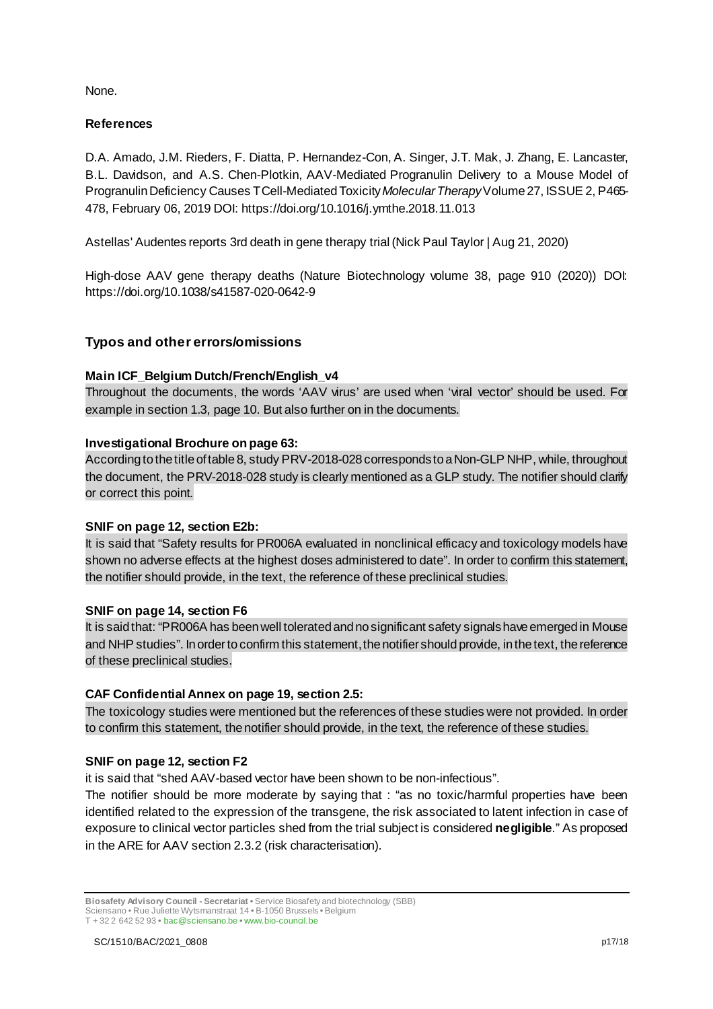None.

### **References**

D.A. Amado, J.M. Rieders, F. Diatta, P. Hernandez-Con, A. Singer, J.T. Mak, J. Zhang, E. Lancaster, B.L. Davidson, and A.S. Chen-Plotkin, AAV-Mediated Progranulin Delivery to a Mouse Model of Progranulin Deficiency Causes T Cell-Mediated Toxicity*Molecular Therapy*Volume 27, ISSUE 2, P465- 478, February 06, 2019 DOI: https://doi.org/10.1016/j.ymthe.2018.11.013

Astellas' Audentes reports 3rd death in gene therapy trial (Nick Paul Taylor | Aug 21, 2020)

High-dose AAV gene therapy deaths (Nature Biotechnology volume 38, page 910 (2020)) DOI: https://doi.org/10.1038/s41587-020-0642-9

### **Typos and other errors/omissions**

### **Main ICF\_Belgium Dutch/French/English\_v4**

Throughout the documents, the words 'AAV virus' are used when 'viral vector' should be used. For example in section 1.3, page 10. But also further on in the documents.

### **Investigational Brochure on page 63:**

According to the title of table 8, study PRV-2018-028 corresponds to a Non-GLP NHP, while, throughout the document, the PRV-2018-028 study is clearly mentioned as a GLP study. The notifier should clarify or correct this point.

### **SNIF on page 12, section E2b:**

It is said that "Safety results for PR006A evaluated in nonclinical efficacy and toxicology models have shown no adverse effects at the highest doses administered to date". In order to confirm this statement, the notifier should provide, in the text, the reference of these preclinical studies.

### **SNIF on page 14, section F6**

It is said that: "PR006A has been well tolerated and no significant safety signals have emerged in Mouse and NHP studies". In order to confirm this statement, the notifier should provide, in the text, the reference of these preclinical studies.

### **CAF Confidential Annex on page 19, section 2.5:**

The toxicology studies were mentioned but the references of these studies were not provided. In order to confirm this statement, the notifier should provide, in the text, the reference of these studies.

### **SNIF on page 12, section F2**

it is said that "shed AAV-based vector have been shown to be non-infectious".

The notifier should be more moderate by saying that : "as no toxic/harmful properties have been identified related to the expression of the transgene, the risk associated to latent infection in case of exposure to clinical vector particles shed from the trial subject is considered **negligible**." As proposed in the ARE for AAV section 2.3.2 (risk characterisation).

**Biosafety Advisory Council - Secretariat •** Service Biosafety and biotechnology (SBB)

Sciensano • Rue Juliette Wytsmanstraat 14 **•** B-1050 Brussels **•** Belgium T + 32 2 642 52 93 **•** bac@sciensano.be **•** www.bio-council.be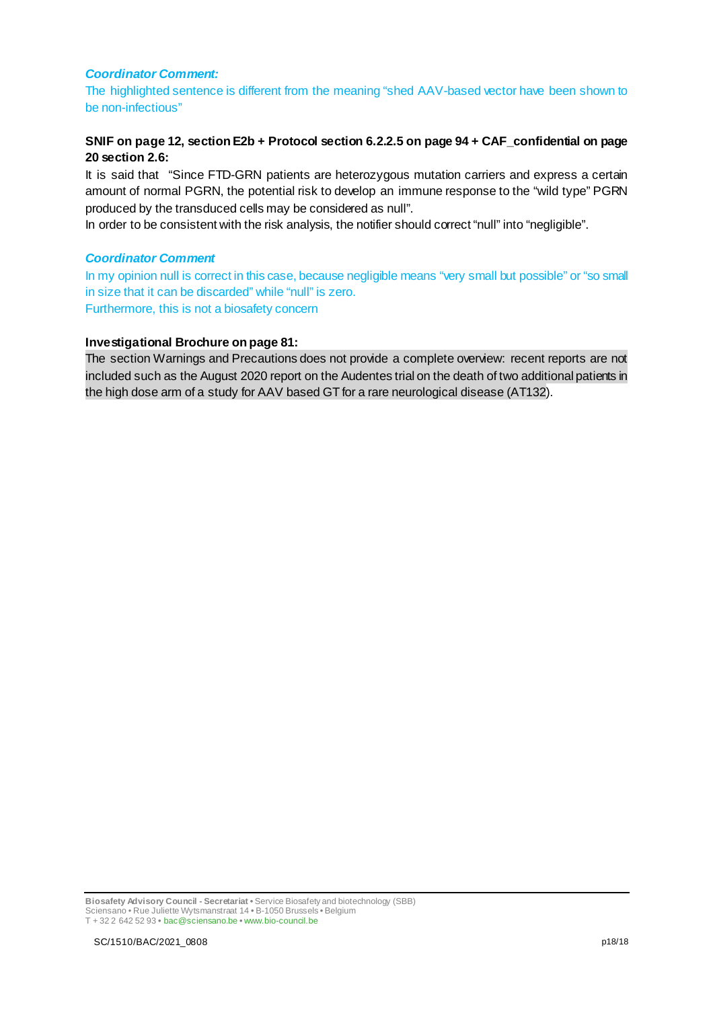#### *Coordinator Comment:*

The highlighted sentence is different from the meaning "shed AAV-based vector have been shown to be non-infectious"

### **SNIF on page 12, section E2b + Protocol section 6.2.2.5 on page 94 + CAF\_confidential on page 20 section 2.6:**

It is said that "Since FTD-GRN patients are heterozygous mutation carriers and express a certain amount of normal PGRN, the potential risk to develop an immune response to the "wild type" PGRN produced by the transduced cells may be considered as null".

In order to be consistent with the risk analysis, the notifier should correct "null" into "negligible".

#### *Coordinator Comment*

In my opinion null is correct in this case, because negligible means "very small but possible" or "so small in size that it can be discarded" while "null" is zero. Furthermore, this is not a biosafety concern

#### **Investigational Brochure on page 81:**

The section Warnings and Precautions does not provide a complete overview: recent reports are not included such as the August 2020 report on the Audentes trial on the death of two additional patients in the high dose arm of a study for AAV based GT for a rare neurological disease (AT132).

**Biosafety Advisory Council - Secretariat •** Service Biosafety and biotechnology (SBB) Sciensano • Rue Juliette Wytsmanstraat 14 **•** B-1050 Brussels **•** Belgium T + 32 2 642 52 93 **•** bac@sciensano.be **•** www.bio-council.be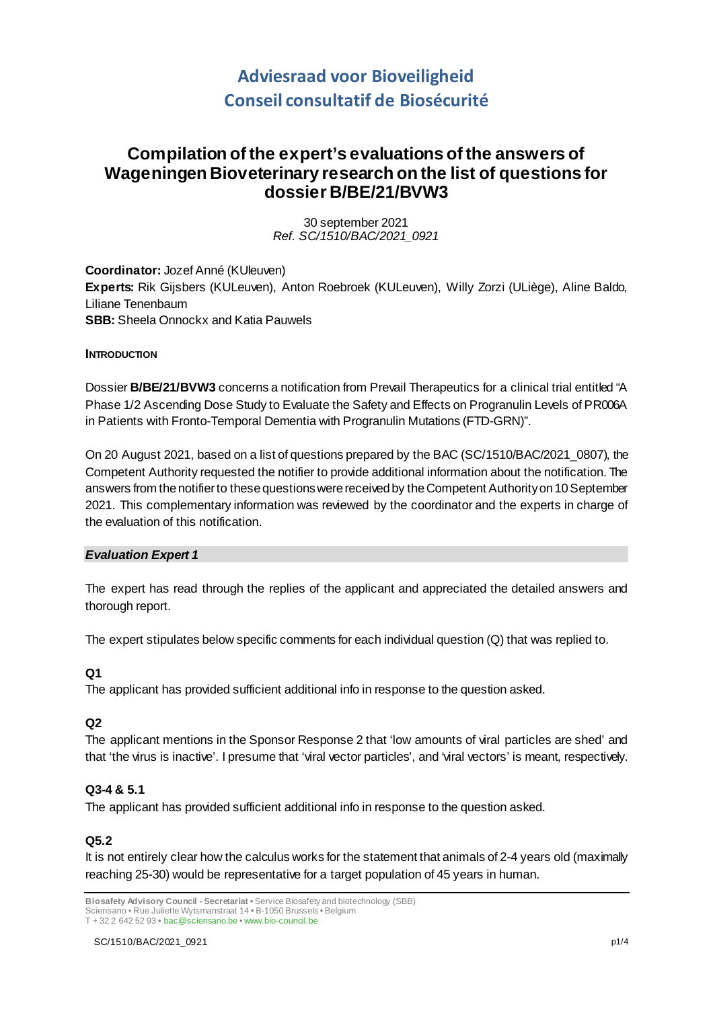# **Adviesraad voor Bioveiligheid Conseil consultatif de Biosécurité**

## **Compilation of the expert's evaluations of the answers of Wageningen Bioveterinary research on the list of questions for dossier B/BE/21/BVW3**

30 september 2021 *Ref. SC/1510/BAC/2021\_0921*

**Coordinator:** Jozef Anné (KUleuven) **Experts:** Rik Gijsbers (KULeuven), Anton Roebroek (KULeuven), Willy Zorzi (ULiège), Aline Baldo, Liliane Tenenbaum **SBB:** Sheela Onnockx and Katia Pauwels

### **INTRODUCTION**

Dossier **B/BE/21/BVW3** concerns a notification from Prevail Therapeutics for a clinical trial entitled "A Phase 1/2 Ascending Dose Study to Evaluate the Safety and Effects on Progranulin Levels of PR006A in Patients with Fronto-Temporal Dementia with Progranulin Mutations (FTD-GRN)".

On 20 August 2021, based on a list of questions prepared by the BAC (SC/1510/BAC/2021\_0807), the Competent Authority requested the notifier to provide additional information about the notification. The answers from the notifier to these questions were received by the Competent Authority on 10 September 2021. This complementary information was reviewed by the coordinator and the experts in charge of the evaluation of this notification.

### *Evaluation Expert 1*

The expert has read through the replies of the applicant and appreciated the detailed answers and thorough report.

The expert stipulates below specific comments for each individual question (Q) that was replied to.

### **Q1**

The applicant has provided sufficient additional info in response to the question asked.

### **Q2**

The applicant mentions in the Sponsor Response 2 that 'low amounts of viral particles are shed' and that 'the virus is inactive'. I presume that 'viral vector particles', and 'viral vectors' is meant, respectively.

### **Q3-4 & 5.1**

The applicant has provided sufficient additional info in response to the question asked.

### **Q5.2**

It is not entirely clear how the calculus works for the statement that animals of 2-4 years old (maximally reaching 25-30) would be representative for a target population of 45 years in human.

**Biosafety Advisory Council - Secretariat •** Service Biosafety and biotechnology (SBB) Sciensano • Rue Juliette Wytsmanstraat 14 **•** B-1050 Brussels **•** Belgium

T + 32 2 642 52 93 **•** bac@sciensano.be **•** www.bio-council.be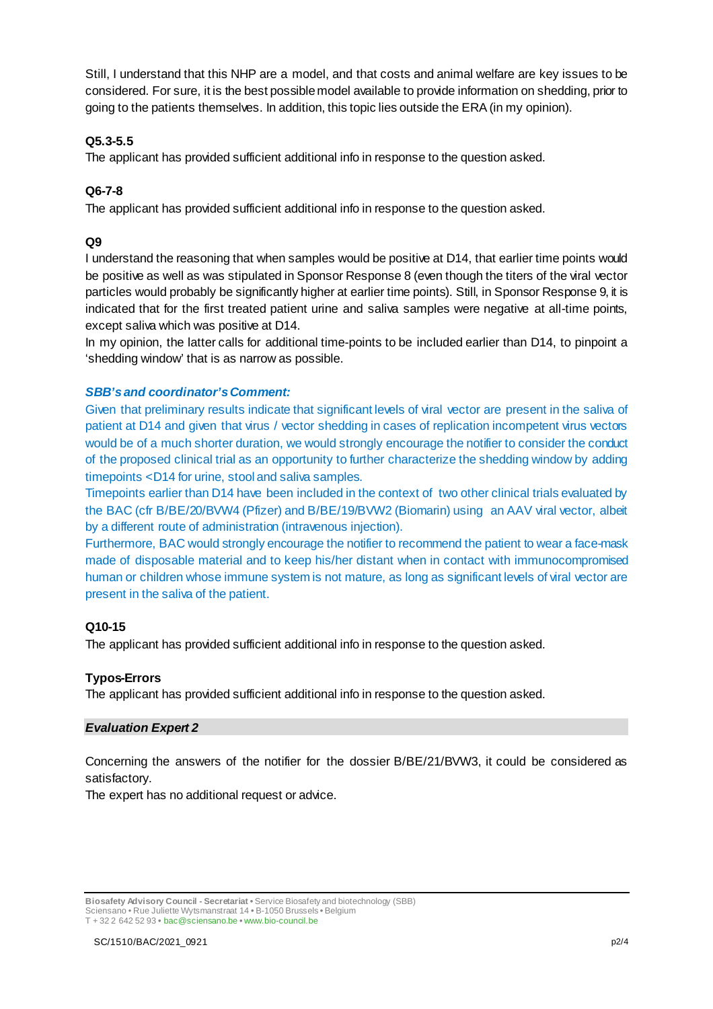Still, I understand that this NHP are a model, and that costs and animal welfare are key issues to be considered. For sure, it is the best possible model available to provide information on shedding, prior to going to the patients themselves. In addition, this topic lies outside the ERA (in my opinion).

### **Q5.3-5.5**

The applicant has provided sufficient additional info in response to the question asked.

### **Q6-7-8**

The applicant has provided sufficient additional info in response to the question asked.

### **Q9**

I understand the reasoning that when samples would be positive at D14, that earlier time points would be positive as well as was stipulated in Sponsor Response 8 (even though the titers of the viral vector particles would probably be significantly higher at earlier time points). Still, in Sponsor Response 9, it is indicated that for the first treated patient urine and saliva samples were negative at all-time points, except saliva which was positive at D14.

In my opinion, the latter calls for additional time-points to be included earlier than D14, to pinpoint a 'shedding window' that is as narrow as possible.

### *SBB'sand coordinator'sComment:*

Given that preliminary results indicate that significant levels of viral vector are present in the saliva of patient at D14 and given that virus / vector shedding in cases of replication incompetent virus vectors would be of a much shorter duration, we would strongly encourage the notifier to consider the conduct of the proposed clinical trial as an opportunity to further characterize the shedding window by adding timepoints <D14 for urine, stool and saliva samples.

Timepoints earlier than D14 have been included in the context of two other clinical trials evaluated by the BAC (cfr B/BE/20/BVW4 (Pfizer) and B/BE/19/BVW2 (Biomarin) using an AAV viral vector, albeit by a different route of administration (intravenous injection).

Furthermore, BAC would strongly encourage the notifier to recommend the patient to wear a face-mask made of disposable material and to keep his/her distant when in contact with immunocompromised human or children whose immune system is not mature, as long as significant levels of viral vector are present in the saliva of the patient.

### **Q10-15**

The applicant has provided sufficient additional info in response to the question asked.

### **Typos-Errors**

The applicant has provided sufficient additional info in response to the question asked.

### *Evaluation Expert 2*

Concerning the answers of the notifier for the dossier B/BE/21/BVW3, it could be considered as satisfactory.

The expert has no additional request or advice.

**Biosafety Advisory Council - Secretariat •** Service Biosafety and biotechnology (SBB) Sciensano • Rue Juliette Wytsmanstraat 14 **•** B-1050 Brussels **•** Belgium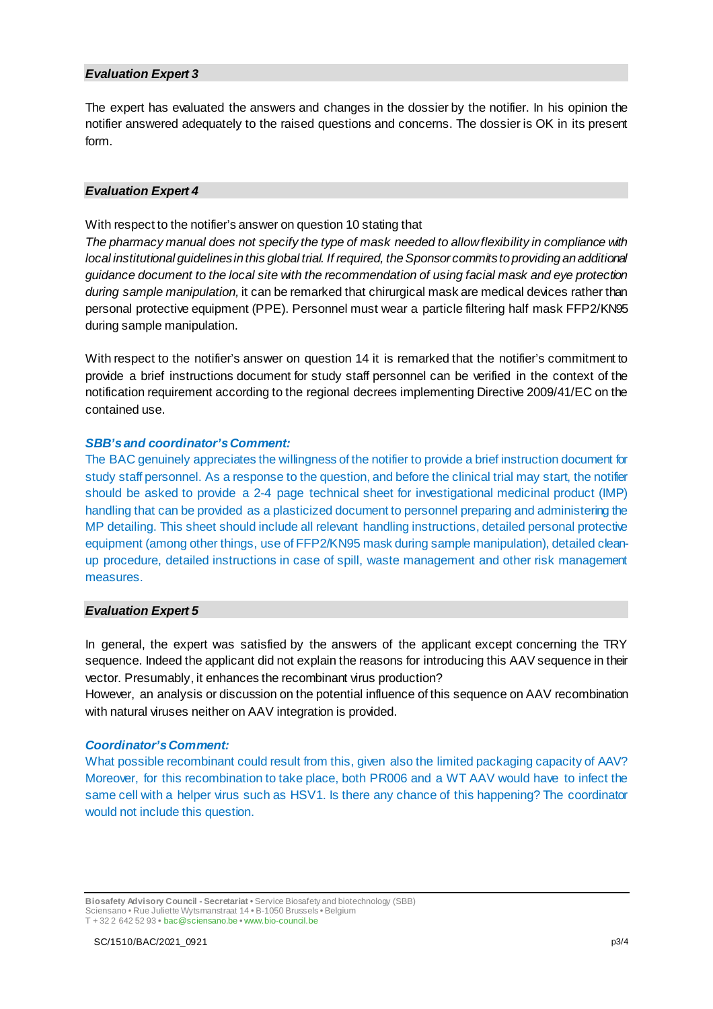#### *Evaluation Expert 3*

The expert has evaluated the answers and changes in the dossier by the notifier. In his opinion the notifier answered adequately to the raised questions and concerns. The dossier is OK in its present form.

#### *Evaluation Expert 4*

With respect to the notifier's answer on question 10 stating that

*The pharmacy manual does not specify the type of mask needed to allow flexibility in compliance with local institutional quidelines in this global trial. If required, the Sponsor commits to providing an additional guidance document to the local site with the recommendation of using facial mask and eye protection during sample manipulation,* it can be remarked that chirurgical mask are medical devices rather than personal protective equipment (PPE). Personnel must wear a particle filtering half mask FFP2/KN95 during sample manipulation.

With respect to the notifier's answer on question 14 it is remarked that the notifier's commitment to provide a brief instructions document for study staff personnel can be verified in the context of the notification requirement according to the regional decrees implementing Directive 2009/41/EC on the contained use.

#### *SBB'sand coordinator's Comment:*

The BAC genuinely appreciates the willingness of the notifier to provide a brief instruction document for study staff personnel. As a response to the question, and before the clinical trial may start, the notifier should be asked to provide a 2-4 page technical sheet for investigational medicinal product (IMP) handling that can be provided as a plasticized document to personnel preparing and administering the MP detailing. This sheet should include all relevant handling instructions, detailed personal protective equipment (among other things, use of FFP2/KN95 mask during sample manipulation), detailed cleanup procedure, detailed instructions in case of spill, waste management and other risk management measures.

### *Evaluation Expert 5*

In general, the expert was satisfied by the answers of the applicant except concerning the TRY sequence. Indeed the applicant did not explain the reasons for introducing this AAV sequence in their vector. Presumably, it enhances the recombinant virus production?

However, an analysis or discussion on the potential influence of this sequence on AAV recombination with natural viruses neither on AAV integration is provided.

#### *Coordinator's Comment:*

What possible recombinant could result from this, given also the limited packaging capacity of AAV? Moreover, for this recombination to take place, both PR006 and a WT AAV would have to infect the same cell with a helper virus such as HSV1. Is there any chance of this happening? The coordinator would not include this question.

**Biosafety Advisory Council - Secretariat •** Service Biosafety and biotechnology (SBB) Sciensano • Rue Juliette Wytsmanstraat 14 **•** B-1050 Brussels **•** Belgium T + 32 2 642 52 93 **•** bac@sciensano.be **•** www.bio-council.be